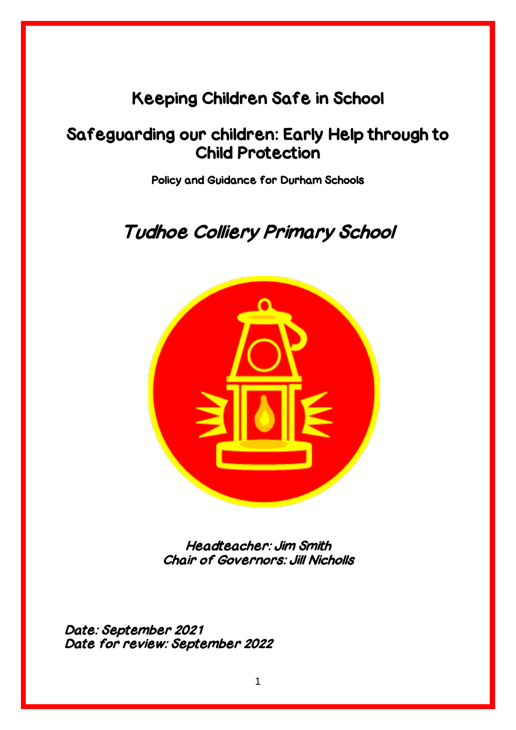## Keeping Children Safe in School

## Safeguarding our children: Early Help through to Child Protection

Policy and Guidance for Durham Schools

# Tudhoe Colliery Primary School



Headteacher: Jim Smith Chair of Governors: Jill Nicholls

Date: September 2021 Date for review: September 2022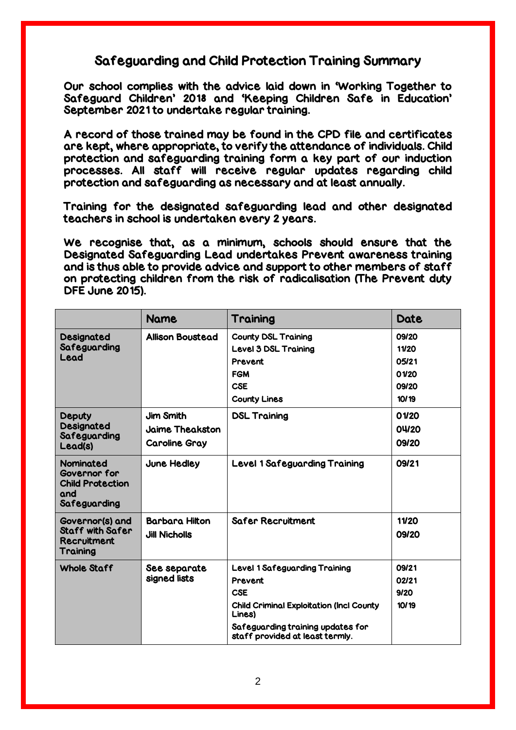### Safeguarding and Child Protection Training Summary

Our school complies with the advice laid down in 'Working Together to Safeguard Children' 2018 and 'Keeping Children Safe in Education' September 2021 to undertake regular training.

A record of those trained may be found in the CPD file and certificates are kept, where appropriate, to verify the attendance of individuals. Child protection and safeguarding training form a key part of our induction processes. All staff will receive regular updates regarding child protection and safeguarding as necessary and at least annually.

Training for the designated safeguarding lead and other designated teachers in school is undertaken every 2 years.

We recognise that, as a minimum, schools should ensure that the Designated Safeguarding Lead undertakes Prevent awareness training and is thus able to provide advice and support to other members of staff on protecting children from the risk of radicalisation (The Prevent duty DFE June 2015).

|                                                                                    | <b>Name</b>                  | Training                                                             | <b>Date</b> |
|------------------------------------------------------------------------------------|------------------------------|----------------------------------------------------------------------|-------------|
| Designated<br>Safeguarding<br>Lead                                                 | <b>Allison Boustead</b>      | <b>County DSL Training</b>                                           | 09/20       |
|                                                                                    |                              | Level 3 DSL Training                                                 | 11/20       |
|                                                                                    |                              | <b>Prevent</b>                                                       | 05/21       |
|                                                                                    |                              | <b>FGM</b>                                                           | 01/20       |
|                                                                                    |                              | <b>CSE</b>                                                           | 09/20       |
|                                                                                    |                              | <b>County Lines</b>                                                  | 10/19       |
| <b>Deputy</b><br>Designated<br>Safeguarding<br>Lead(s)                             | <b>Jim Smith</b>             | <b>DSL Training</b>                                                  | 01/20       |
|                                                                                    | <b>Jaime Theakston</b>       |                                                                      | 04/20       |
|                                                                                    | <b>Caroline Gray</b>         |                                                                      | 09/20       |
| <b>Nominated</b><br>Governor for<br><b>Child Protection</b><br>and<br>Safeguarding | June Hedley                  | <b>Level 1 Safeguarding Training</b>                                 | 09/21       |
| Governor(s) and                                                                    | <b>Barbara Hitton</b>        | <b>Safer Recruitment</b>                                             | 11/20       |
| <b>Staff with Safer</b><br>Recruitment<br>Training                                 | <b>Jill Nicholls</b>         |                                                                      | 09/20       |
| <b>Whole Staff</b>                                                                 | See separate<br>signed lists | <b>Level 1 Safeguarding Training</b>                                 | 09/21       |
|                                                                                    |                              | Prevent                                                              | 02/21       |
|                                                                                    |                              | <b>CSE</b>                                                           | 9/20        |
|                                                                                    |                              | <b>Child Criminal Exploitation (Incl County</b><br>Lines)            | 10/19       |
|                                                                                    |                              | Safeguarding training updates for<br>staff provided at least termly. |             |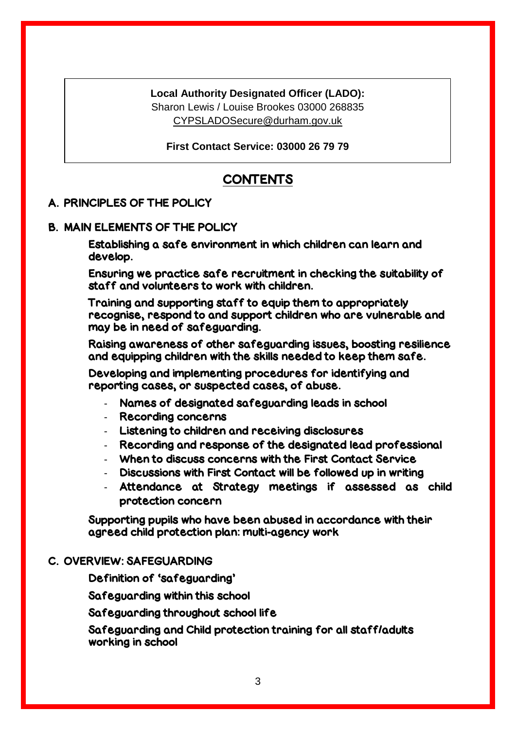#### **Local Authority Designated Officer (LADO):**

Sharon Lewis / Louise Brookes 03000 268835 [CYPSLADOSecure@durham.gov.uk](mailto:CYPSLADOSecure@durham.gov.uk)

**First Contact Service: 03000 26 79 79**

## **CONTENTS**

#### A. PRINCIPLES OF THE POLICY

#### B. MAIN ELEMENTS OF THE POLICY

Establishing a safe environment in which children can learn and develop.

Ensuring we practice safe recruitment in checking the suitability of staff and volunteers to work with children.

Training and supporting staff to equip them to appropriately recognise, respond to and support children who are vulnerable and may be in need of safeguarding.

Raising awareness of other safeguarding issues, boosting resilience and equipping children with the skills needed to keep them safe.

Developing and implementing procedures for identifying and reporting cases, or suspected cases, of abuse.

- Names of designated safeguarding leads in school
- Recording concerns
- Listening to children and receiving disclosures
- Recording and response of the designated lead professional
- When to discuss concerns with the First Contact Service
- Discussions with First Contact will be followed up in writing
- Attendance at Strategy meetings if assessed as child protection concern

Supporting pupils who have been abused in accordance with their agreed child protection plan: multi-agency work

#### C. OVERVIEW: SAFEGUARDING

Definition of 'safeguarding'

Safeguarding within this school

Safeguarding throughout school life

Safeguarding and Child protection training for all staff/adults working in school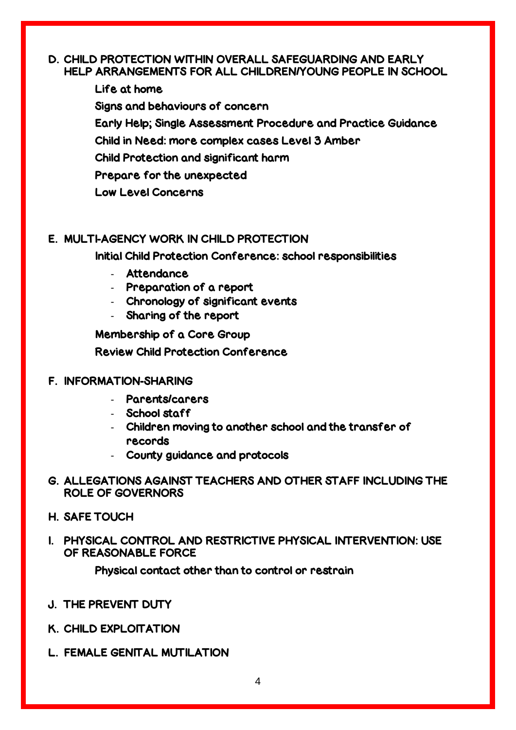#### D. CHILD PROTECTION WITHIN OVERALL SAFEGUARDING AND EARLY HELP ARRANGEMENTS FOR ALL CHILDREN/YOUNG PEOPLE IN SCHOOL

Life at home Signs and behaviours of concern Early Help; Single Assessment Procedure and Practice Guidance Child in Need: more complex cases Level 3 Amber Child Protection and significant harm Prepare for the unexpected Low Level Concerns

### E. MULTI-AGENCY WORK IN CHILD PROTECTION

Initial Child Protection Conference: school responsibilities

- Attendance
- Preparation of a report
- Chronology of significant events
- Sharing of the report

Membership of a Core Group Review Child Protection Conference

#### F. INFORMATION-SHARING

- Parents/carers
- School staff
- Children moving to another school and the transfer of records
- County guidance and protocols
- G. ALLEGATIONS AGAINST TEACHERS AND OTHER STAFF INCLUDING THE ROLE OF GOVERNORS
- H. SAFE TOUCH
- I. PHYSICAL CONTROL AND RESTRICTIVE PHYSICAL INTERVENTION: USE OF REASONABLE FORCE

Physical contact other than to control or restrain

- J. THE PREVENT DUTY
- K. CHILD EXPLOITATION
- L. FEMALE GENITAL MUTILATION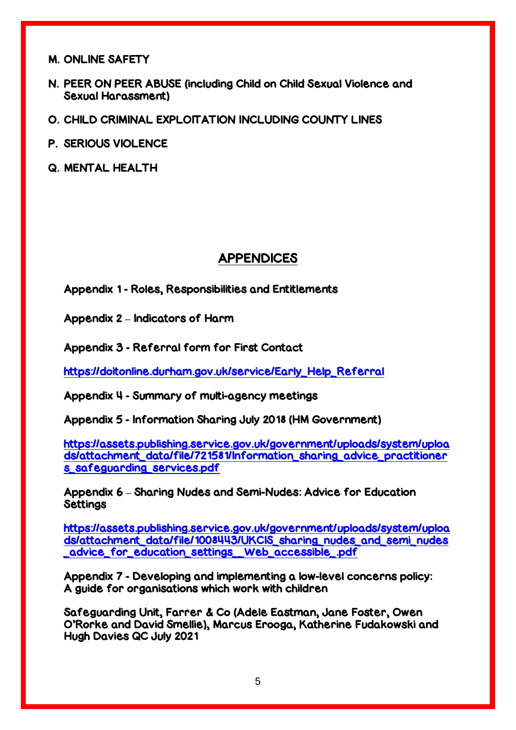M. ONLINE SAFETY

- N. PEER ON PEER ABUSE (including Child on Child Sexual Violence and Sexual Harassment)
- O. CHILD CRIMINAL EXPLOITATION INCLUDING COUNTY LINES
- P. SERIOUS VIOLENCE
- Q. MENTAL HEALTH

### APPENDICES

Appendix 1 - Roles, Responsibilities and Entitlements

Appendix 2 **–** Indicators of Harm

Appendix 3 - Referral form for First Contact

[https://doitonline.durham.gov.uk/service/Early\\_Help\\_Referral](https://doitonline.durham.gov.uk/service/Early_Help_Referral)

Appendix 4 - Summary of multi-agency meetings

Appendix 5 - Information Sharing July 2018 (HM Government)

[https://assets.publishing.service.gov.uk/government/uploads/system/uploa](https://assets.publishing.service.gov.uk/government/uploads/system/uploads/attachment_data/file/721581/Information_sharing_advice_practitioners_safeguarding_services.pdf) [ds/attachment\\_data/file/721581/Information\\_sharing\\_advice\\_practitioner](https://assets.publishing.service.gov.uk/government/uploads/system/uploads/attachment_data/file/721581/Information_sharing_advice_practitioners_safeguarding_services.pdf) [s\\_safeguarding\\_services.pdf](https://assets.publishing.service.gov.uk/government/uploads/system/uploads/attachment_data/file/721581/Information_sharing_advice_practitioners_safeguarding_services.pdf)

Appendix 6 **–** Sharing Nudes and Semi-Nudes: Advice for Education **Settings** 

[https://assets.publishing.service.gov.uk/government/uploads/system/uploa](https://assets.publishing.service.gov.uk/government/uploads/system/uploads/attachment_data/file/1008443/UKCIS_sharing_nudes_and_semi_nudes_advice_for_education_settings__Web_accessible_.pdf) [ds/attachment\\_data/file/1008443/UKCIS\\_sharing\\_nudes\\_and\\_semi\\_nudes](https://assets.publishing.service.gov.uk/government/uploads/system/uploads/attachment_data/file/1008443/UKCIS_sharing_nudes_and_semi_nudes_advice_for_education_settings__Web_accessible_.pdf) [\\_advice\\_for\\_education\\_settings\\_\\_Web\\_accessible\\_.pdf](https://assets.publishing.service.gov.uk/government/uploads/system/uploads/attachment_data/file/1008443/UKCIS_sharing_nudes_and_semi_nudes_advice_for_education_settings__Web_accessible_.pdf)

Appendix 7 - Developing and implementing a low-level concerns policy: A guide for organisations which work with children

Safeguarding Unit, Farrer & Co (Adele Eastman, Jane Foster, Owen O'Rorke and David Smellie), Marcus Erooga, Katherine Fudakowski and Hugh Davies QC July 2021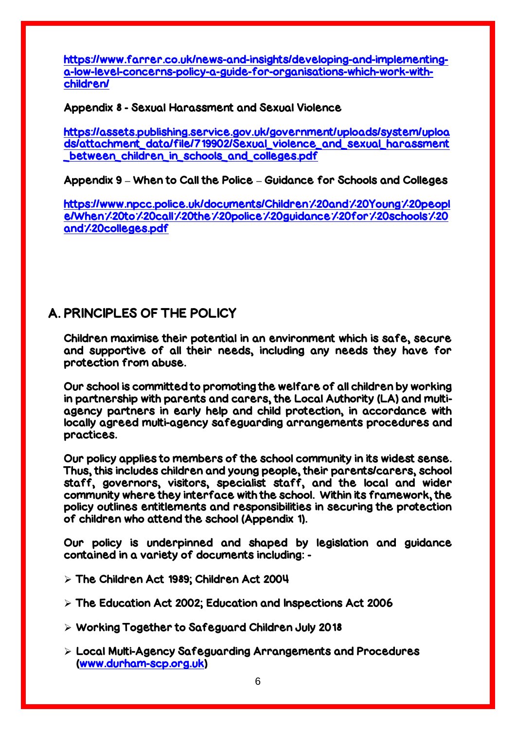[https://www.farrer.co.uk/news-and-insights/developing-and-implementing](https://www.farrer.co.uk/news-and-insights/developing-and-implementing-a-low-level-concerns-policy-a-guide-for-organisations-which-work-with-children/)[a-low-level-concerns-policy-a-guide-for-organisations-which-work-with](https://www.farrer.co.uk/news-and-insights/developing-and-implementing-a-low-level-concerns-policy-a-guide-for-organisations-which-work-with-children/)[children/](https://www.farrer.co.uk/news-and-insights/developing-and-implementing-a-low-level-concerns-policy-a-guide-for-organisations-which-work-with-children/)

Appendix 8 - Sexual Harassment and Sexual Violence

[https://assets.publishing.service.gov.uk/government/uploads/system/uploa](https://assets.publishing.service.gov.uk/government/uploads/system/uploads/attachment_data/file/719902/Sexual_violence_and_sexual_harassment_between_children_in_schools_and_colleges.pdf) [ds/attachment\\_data/file/719902/Sexual\\_violence\\_and\\_sexual\\_harassment](https://assets.publishing.service.gov.uk/government/uploads/system/uploads/attachment_data/file/719902/Sexual_violence_and_sexual_harassment_between_children_in_schools_and_colleges.pdf) [\\_between\\_children\\_in\\_schools\\_and\\_colleges.pdf](https://assets.publishing.service.gov.uk/government/uploads/system/uploads/attachment_data/file/719902/Sexual_violence_and_sexual_harassment_between_children_in_schools_and_colleges.pdf)

Appendix 9 **–** When to Call the Police **–** Guidance for Schools and Colleges

[https://www.npcc.police.uk/documents/Children%20and%20Young%20peopl](https://www.npcc.police.uk/documents/Children%20and%20Young%20people/When%20to%20call%20the%20police%20guidance%20for%20schools%20and%20colleges.pdf) [e/When%20to%20call%20the%20police%20guidance%20for%20schools%20](https://www.npcc.police.uk/documents/Children%20and%20Young%20people/When%20to%20call%20the%20police%20guidance%20for%20schools%20and%20colleges.pdf) [and%20colleges.pdf](https://www.npcc.police.uk/documents/Children%20and%20Young%20people/When%20to%20call%20the%20police%20guidance%20for%20schools%20and%20colleges.pdf)

## A. PRINCIPLES OF THE POLICY

Children maximise their potential in an environment which is safe, secure and supportive of all their needs, including any needs they have for protection from abuse.

Our school is committed to promoting the welfare of all children by working in partnership with parents and carers, the Local Authority (LA) and multiagency partners in early help and child protection, in accordance with locally agreed multi-agency safeguarding arrangements procedures and practices.

Our policy applies to members of the school community in its widest sense. Thus, this includes children and young people, their parents/carers, school staff, governors, visitors, specialist staff, and the local and wider community where they interface with the school. Within its framework, the policy outlines entitlements and responsibilities in securing the protection of children who attend the school (Appendix 1).

Our policy is underpinned and shaped by legislation and guidance contained in a variety of documents including: -

- $>$  The Children Act 1989; Children Act 2004
- $>$  The Education Act 2002; Education and Inspections Act 2006
- Working Together to Safeguard Children July 2018
- Local Multi-Agency Safeguarding Arrangements and Procedures [\(www.durham-scp.org.uk\)](http://www.durham-scp.org.uk/)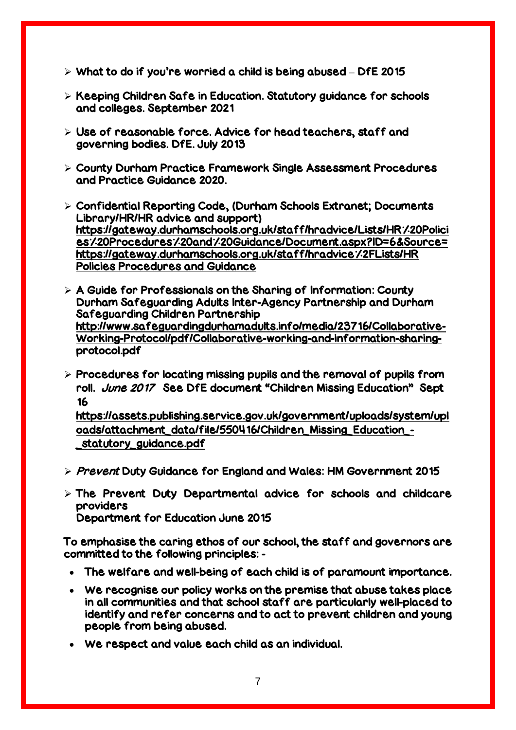- $\triangleright$  What to do if you're worried a child is being abused DfE 2015
- $\triangleright$  Keeping Children Safe in Education. Statutory guidance for schools and colleges. September 2021
- $\triangleright$  Use of reasonable force. Advice for head teachers, staff and governing bodies. DfE. July 2013
- County Durham Practice Framework Single Assessment Procedures and Practice Guidance 2020.
- Confidential Reporting Code, (Durham Schools Extranet; Documents Library/HR/HR advice and support) [https://gateway.durhamschools.org.uk/staff/hradvice/Lists/HR%20Polici](https://gateway.durhamschools.org.uk/staff/hradvice/Lists/HR%20Policies%20Procedures%20and%20Guidance/Document.aspx?ID=6&Source=https://gateway.durhamschools.org.uk/staff/hradvice%2FLists/HR%20Policies%20Procedures%20and%20Guidance%20) [es%20Procedures%20and%20Guidance/Document.aspx?ID=6&Source=](https://gateway.durhamschools.org.uk/staff/hradvice/Lists/HR%20Policies%20Procedures%20and%20Guidance/Document.aspx?ID=6&Source=https://gateway.durhamschools.org.uk/staff/hradvice%2FLists/HR%20Policies%20Procedures%20and%20Guidance%20) https://gateway.durhamschools.org.uk/staff/hradvice<sup>-</sup>/-2FLists/HR [Policies Procedures and Guidance](https://gateway.durhamschools.org.uk/staff/hradvice/Lists/HR%20Policies%20Procedures%20and%20Guidance/Document.aspx?ID=6&Source=https://gateway.durhamschools.org.uk/staff/hradvice%2FLists/HR%20Policies%20Procedures%20and%20Guidance%20)
- $\triangleright$  A Guide for Professionals on the Sharing of Information: County Durham Safeguarding Adults Inter-Agency Partnership and Durham Safeguarding Children Partnership [http://www.safeguardingdurhamadults.info/media/23716/Collaborative-](http://www.safeguardingdurhamadults.info/media/23716/Collaborative-Working-Protocol/pdf/Collaborative-working-and-information-sharing-protocol.pdf)[Working-Protocol/pdf/Collaborative-working-and-information-sharing](http://www.safeguardingdurhamadults.info/media/23716/Collaborative-Working-Protocol/pdf/Collaborative-working-and-information-sharing-protocol.pdf)[protocol.pdf](http://www.safeguardingdurhamadults.info/media/23716/Collaborative-Working-Protocol/pdf/Collaborative-working-and-information-sharing-protocol.pdf)
- $\triangleright$  Procedures for locating missing pupils and the removal of pupils from roll. *June 2017* See DfE document "Children Missing Education" Sept 16

[https://assets.publishing.service.gov.uk/government/uploads/system/upl](https://assets.publishing.service.gov.uk/government/uploads/system/uploads/attachment_data/file/550416/Children_Missing_Education_-_statutory_guidance.pdf) [oads/attachment\\_data/file/550416/Children\\_Missing\\_Education\\_-](https://assets.publishing.service.gov.uk/government/uploads/system/uploads/attachment_data/file/550416/Children_Missing_Education_-_statutory_guidance.pdf) [\\_statutory\\_guidance.pdf](https://assets.publishing.service.gov.uk/government/uploads/system/uploads/attachment_data/file/550416/Children_Missing_Education_-_statutory_guidance.pdf)

- $\triangleright$  Prevent Duty Guidance for England and Wales: HM Government 2015
- $\triangleright$  The Prevent Duty Departmental advice for schools and childcare providers Department for Education June 2015

To emphasise the caring ethos of our school, the staff and governors are committed to the following principles: -

- The welfare and well-being of each child is of paramount importance.
- We recognise our policy works on the premise that abuse takes place in all communities and that school staff are particularly well-placed to identify and refer concerns and to act to prevent children and young people from being abused.
- We respect and value each child as an individual.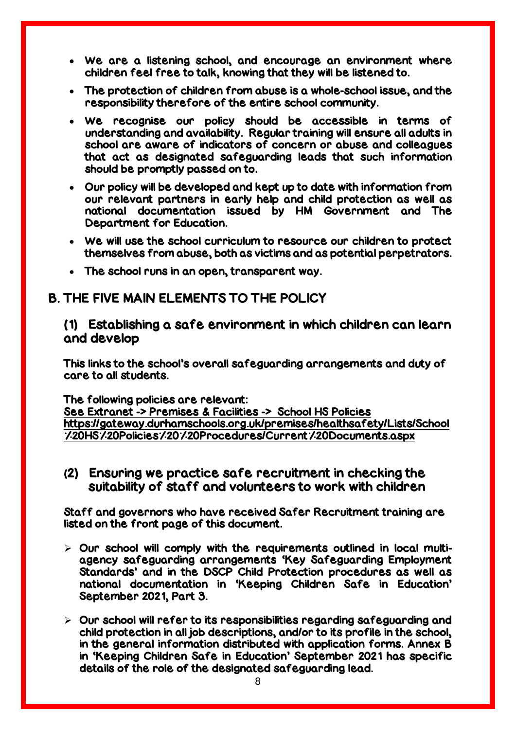- We are a listening school, and encourage an environment where children feel free to talk, knowing that they will be listened to.
- The protection of children from abuse is a whole-school issue, and the responsibility therefore of the entire school community.
- We recognise our policy should be accessible in terms of understanding and availability. Regular training will ensure all adults in school are aware of indicators of concern or abuse and colleagues that act as designated safeguarding leads that such information should be promptly passed on to.
- Our policy will be developed and kept up to date with information from our relevant partners in early help and child protection as well as national documentation issued by HM Government and The Department for Education.
- We will use the school curriculum to resource our children to protect themselves from abuse, both as victims and as potential perpetrators.
- The school runs in an open, transparent way.

### B. THE FIVE MAIN ELEMENTS TO THE POLICY

### (1) Establishing a safe environment in which children can learn and develop

This links to the school's overall safeguarding arrangements and duty of care to all students.

The following policies are relevant:

See Extranet -> Premises & Facilities -> School HS Policies [https://gateway.durhamschools.org.uk/premises/healthsafety/Lists/School](https://gateway.durhamschools.org.uk/premises/healthsafety/Lists/School%20HS%20Policies%20%20Procedures/Current%20Documents.aspx) [%20HS%20Policies%20%20Procedures/Current%20Documents.aspx](https://gateway.durhamschools.org.uk/premises/healthsafety/Lists/School%20HS%20Policies%20%20Procedures/Current%20Documents.aspx)

(2) Ensuring we practice safe recruitment in checking the suitability of staff and volunteers to work with children

Staff and governors who have received Safer Recruitment training are listed on the front page of this document.

- $\triangleright$  Our school will comply with the requirements outlined in local multiagency safeguarding arrangements 'Key Safeguarding Employment Standards' and in the DSCP Child Protection procedures as well as national documentation in 'Keeping Children Safe in Education' September 2021, Part 3.
- $\triangleright$  Our school will refer to its responsibilities regarding safeguarding and child protection in all job descriptions, and/or to its profile in the school, in the general information distributed with application forms. Annex B in 'Keeping Children Safe in Education' September 2021 has specific details of the role of the designated safeguarding lead.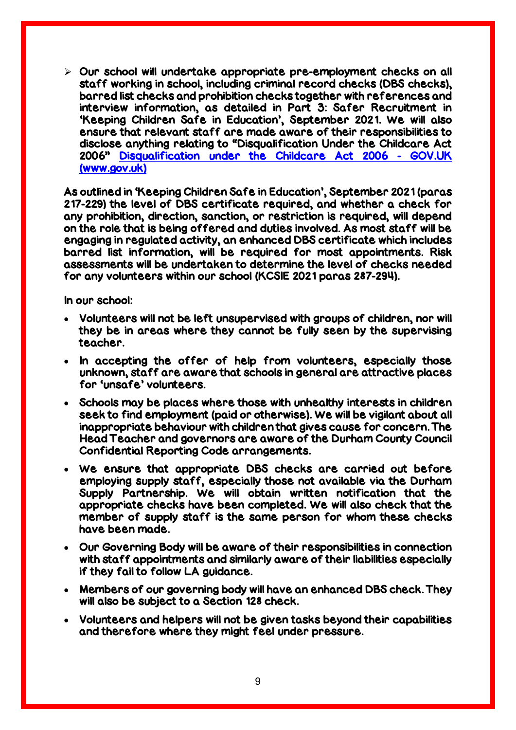$\triangleright$  Our school will undertake appropriate pre-employment checks on all staff working in school, including criminal record checks (DBS checks), barred list checks and prohibition checks together with references and interview information, as detailed in Part 3: Safer Recruitment in 'Keeping Children Safe in Education', September 2021. We will also ensure that relevant staff are made aware of their responsibilities to disclose anything relating to "Disqualification Under the Childcare Act 2006" [Disqualification under the Childcare Act 2006 -](https://www.gov.uk/government/publications/disqualification-under-the-childcare-act-2006/disqualification-under-the-childcare-act-2006) GOV.UK [\(www.gov.uk\)](https://www.gov.uk/government/publications/disqualification-under-the-childcare-act-2006/disqualification-under-the-childcare-act-2006)

As outlined in 'Keeping Children Safe in Education', September 2021 (paras 217-229) the level of DBS certificate required, and whether a check for any prohibition, direction, sanction, or restriction is required, will depend on the role that is being offered and duties involved. As most staff will be engaging in regulated activity, an enhanced DBS certificate which includes barred list information, will be required for most appointments. Risk assessments will be undertaken to determine the level of checks needed for any volunteers within our school (KCSIE 2021 paras 287-294).

In our school:

- Volunteers will not be left unsupervised with groups of children, nor will they be in areas where they cannot be fully seen by the supervising teacher.
- In accepting the offer of help from volunteers, especially those unknown, staff are aware that schools in general are attractive places for 'unsafe' volunteers.
- Schools may be places where those with unhealthy interests in children seek to find employment (paid or otherwise). We will be vigilant about all inappropriate behaviour with children that gives cause for concern. The Head Teacher and governors are aware of the Durham County Council Confidential Reporting Code arrangements.
- We ensure that appropriate DBS checks are carried out before employing supply staff, especially those not available via the Durham Supply Partnership. We will obtain written notification that the appropriate checks have been completed. We will also check that the member of supply staff is the same person for whom these checks have been made.
- Our Governing Body will be aware of their responsibilities in connection with staff appointments and similarly aware of their liabilities especially if they fail to follow LA guidance.
- Members of our governing body will have an enhanced DBS check. They will also be subject to a Section 128 check.
- Volunteers and helpers will not be given tasks beyond their capabilities and therefore where they might feel under pressure.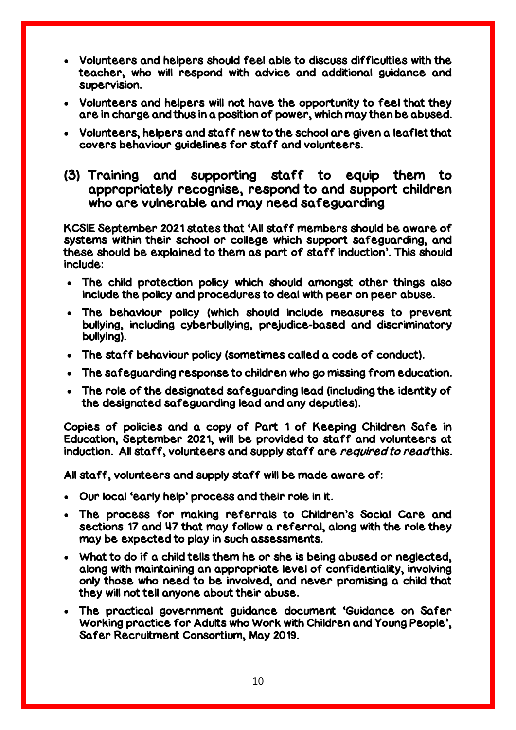- Volunteers and helpers should feel able to discuss difficulties with the teacher, who will respond with advice and additional guidance and supervision.
- Volunteers and helpers will not have the opportunity to feel that they are in charge and thus in a position of power, which may then be abused.
- Volunteers, helpers and staff new to the school are given a leaflet that covers behaviour guidelines for staff and volunteers.
- (3) Training and supporting staff to equip them to appropriately recognise, respond to and support children who are vulnerable and may need safeguarding

KCSIE September 2021 states that 'All staff members should be aware of systems within their school or college which support safeguarding, and these should be explained to them as part of staff induction'. This should include:

- The child protection policy which should amongst other things also include the policy and procedures to deal with peer on peer abuse.
- The behaviour policy (which should include measures to prevent bullying, including cyberbullying, prejudice-based and discriminatory bullying).
- The staff behaviour policy (sometimes called a code of conduct).
- The safeguarding response to children who go missing from education.
- The role of the designated safeguarding lead (including the identity of the designated safeguarding lead and any deputies).

Copies of policies and a copy of Part 1 of Keeping Children Safe in Education, September 2021, will be provided to staff and volunteers at induction. All staff, volunteers and supply staff are required to read this.

All staff, volunteers and supply staff will be made aware of:

- Our local 'early help' process and their role in it.
- The process for making referrals to Children's Social Care and sections 17 and 47 that may follow a referral, along with the role they may be expected to play in such assessments.
- What to do if a child tells them he or she is being abused or neglected, along with maintaining an appropriate level of confidentiality, involving only those who need to be involved, and never promising a child that they will not tell anyone about their abuse.
- The practical government guidance document 'Guidance on Safer Working practice for Adults who Work with Children and Young People', Safer Recruitment Consortium, May 2019.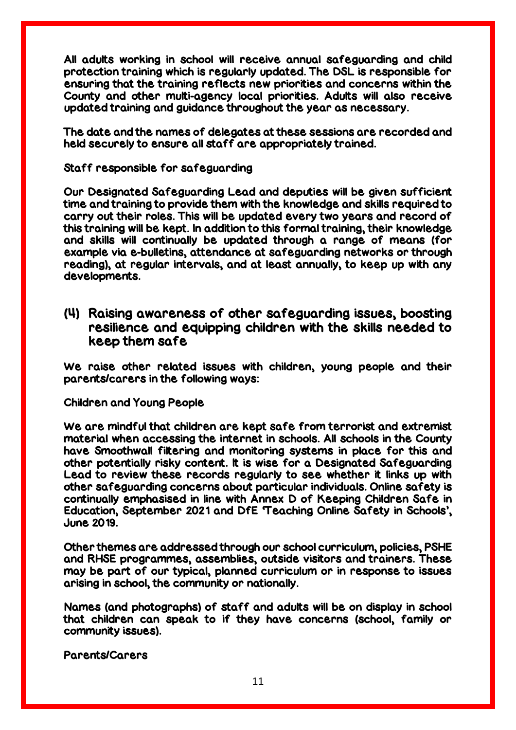All adults working in school will receive annual safeguarding and child protection training which is regularly updated. The DSL is responsible for ensuring that the training reflects new priorities and concerns within the County and other multi-agency local priorities. Adults will also receive updated training and guidance throughout the year as necessary.

The date and the names of delegates at these sessions are recorded and held securely to ensure all staff are appropriately trained.

Staff responsible for safeguarding

Our Designated Safeguarding Lead and deputies will be given sufficient time and training to provide them with the knowledge and skills required to carry out their roles. This will be updated every two years and record of this training will be kept. In addition to this formal training, their knowledge and skills will continually be updated through a range of means (for example via e-bulletins, attendance at safeguarding networks or through reading), at regular intervals, and at least annually, to keep up with any developments.

### (4) Raising awareness of other safeguarding issues, boosting resilience and equipping children with the skills needed to keep them safe

We raise other related issues with children, young people and their parents/carers in the following ways:

Children and Young People

We are mindful that children are kept safe from terrorist and extremist material when accessing the internet in schools. All schools in the County have Smoothwall filtering and monitoring systems in place for this and other potentially risky content. It is wise for a Designated Safeguarding Lead to review these records regularly to see whether it links up with other safeguarding concerns about particular individuals. Online safety is continually emphasised in line with Annex D of Keeping Children Safe in Education, September 2021 and DfE 'Teaching Online Safety in Schools', June 2019.

Other themes are addressed through our school curriculum, policies, PSHE and RHSE programmes, assemblies, outside visitors and trainers. These may be part of our typical, planned curriculum or in response to issues arising in school, the community or nationally.

Names (and photographs) of staff and adults will be on display in school that children can speak to if they have concerns (school, family or community issues).

Parents/Carers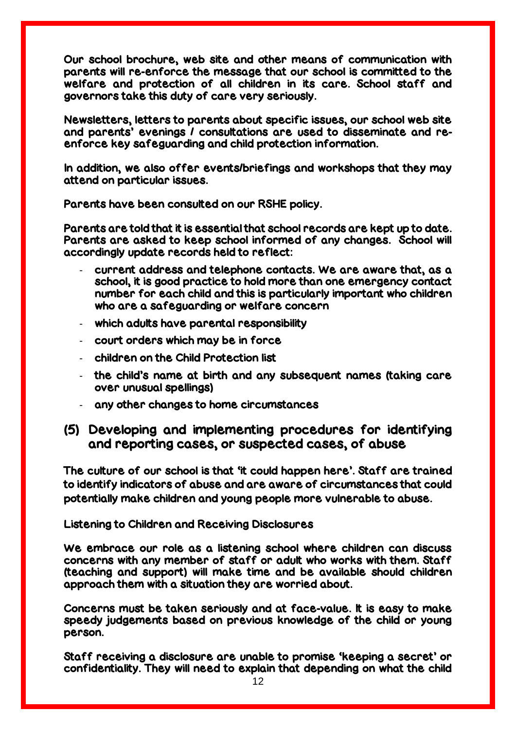Our school brochure, web site and other means of communication with parents will re-enforce the message that our school is committed to the welfare and protection of all children in its care. School staff and governors take this duty of care very seriously.

Newsletters, letters to parents about specific issues, our school web site and parents' evenings / consultations are used to disseminate and reenforce key safeguarding and child protection information.

In addition, we also offer events/briefings and workshops that they may attend on particular issues.

Parents have been consulted on our RSHE policy.

Parents are told that it is essential that school records are kept up to date. Parents are asked to keep school informed of any changes. School will accordingly update records held to reflect:

- current address and telephone contacts. We are aware that, as a school, it is good practice to hold more than one emergency contact number for each child and this is particularly important who children who are a safeguarding or welfare concern
- which adults have parental responsibility
- court orders which may be in force
- children on the Child Protection list
- the child's name at birth and any subsequent names (taking care over unusual spellings)
- any other changes to home circumstances

### (5) Developing and implementing procedures for identifying and reporting cases, or suspected cases, of abuse

The culture of our school is that 'it could happen here'. Staff are trained to identify indicators of abuse and are aware of circumstances that could potentially make children and young people more vulnerable to abuse.

Listening to Children and Receiving Disclosures

We embrace our role as a listening school where children can discuss concerns with any member of staff or adult who works with them. Staff (teaching and support) will make time and be available should children approach them with a situation they are worried about.

Concerns must be taken seriously and at face-value. It is easy to make speedy judgements based on previous knowledge of the child or young person.

Staff receiving a disclosure are unable to promise 'keeping a secret' or confidentiality. They will need to explain that depending on what the child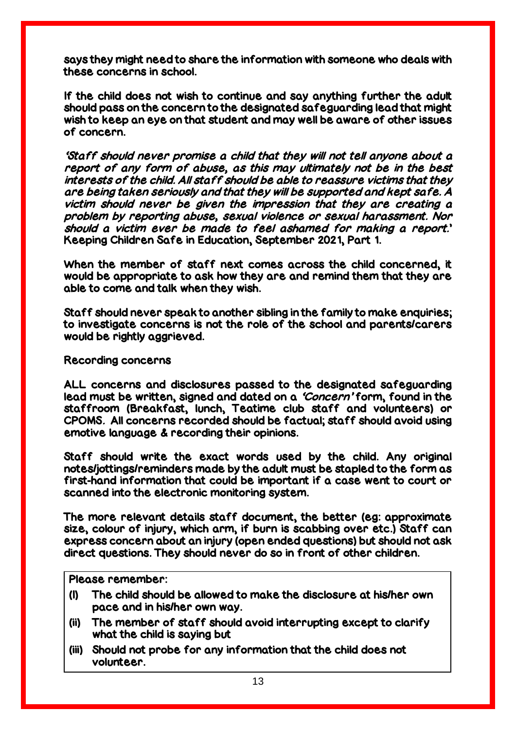says they might need to share the information with someone who deals with these concerns in school.

If the child does not wish to continue and say anything further the adult should pass on the concern to the designated safeguarding lead that might wish to keep an eye on that student and may well be aware of other issues of concern.

'Staff should never promise a child that they will not tell anyone about a report of any form of abuse, as this may ultimately not be in the best interests of the child. All staff should be able to reassure victims that they are being taken seriously and that they will be supported and kept safe. A victim should never be given the impression that they are creating a problem by reporting abuse, sexual violence or sexual harassment. Nor should a victim ever be made to feel ashamed for making a report.' Keeping Children Safe in Education, September 2021, Part 1.

When the member of staff next comes across the child concerned, it would be appropriate to ask how they are and remind them that they are able to come and talk when they wish.

Staff should never speak to another sibling in the family to make enquiries; to investigate concerns is not the role of the school and parents/carers would be rightly aggrieved.

#### Recording concerns

ALL concerns and disclosures passed to the designated safeguarding lead must be written, signed and dated on a 'Concern' form, found in the staffroom (Breakfast, lunch, Teatime club staff and volunteers) or CPOMS. All concerns recorded should be factual; staff should avoid using emotive language & recording their opinions.

Staff should write the exact words used by the child. Any original notes/jottings/reminders made by the adult must be stapled to the form as first-hand information that could be important if a case went to court or scanned into the electronic monitoring system.

The more relevant details staff document, the better (eg: approximate size, colour of injury, which arm, if burn is scabbing over etc.) Staff can express concern about an injury (open ended questions) but should not ask direct questions. They should never do so in front of other children.

Please remember:

- (I) The child should be allowed to make the disclosure at his/her own pace and in his/her own way.
- (ii) The member of staff should avoid interrupting except to clarify what the child is saying but
- (iii) Should not probe for any information that the child does not volunteer.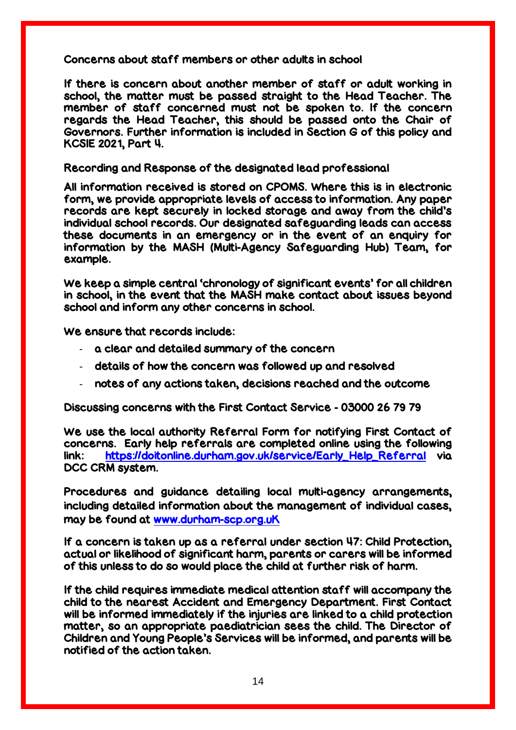Concerns about staff members or other adults in school

If there is concern about another member of staff or adult working in school, the matter must be passed straight to the Head Teacher. The member of staff concerned must not be spoken to. If the concern regards the Head Teacher, this should be passed onto the Chair of Governors. Further information is included in Section G of this policy and KCSIE 2021, Part 4.

Recording and Response of the designated lead professional

All information received is stored on CPOMS. Where this is in electronic form, we provide appropriate levels of access to information. Any paper records are kept securely in locked storage and away from the child's individual school records. Our designated safeguarding leads can access these documents in an emergency or in the event of an enquiry for information by the MASH (Multi-Agency Safeguarding Hub) Team, for example.

We keep a simple central 'chronology of significant events' for all children in school, in the event that the MASH make contact about issues beyond school and inform any other concerns in school.

We ensure that records include:

- a clear and detailed summary of the concern
- details of how the concern was followed up and resolved
- notes of any actions taken, decisions reached and the outcome

Discussing concerns with the First Contact Service - 03000 26 79 79

We use the local authority Referral Form for notifying First Contact of concerns. Early help referrals are completed online using the following link: [https://doitonline.durham.gov.uk/service/Early\\_Help\\_Referral](https://doitonline.durham.gov.uk/service/Early_Help_Referral) via DCC CRM system.

Procedures and guidance detailing local multi-agency arrangements, including detailed information about the management of individual cases, may be found at [www.durham-scp.org.uK](http://www.durham-scp.org.uk/)

If a concern is taken up as a referral under section 47: Child Protection, actual or likelihood of significant harm, parents or carers will be informed of this unless to do so would place the child at further risk of harm.

If the child requires immediate medical attention staff will accompany the child to the nearest Accident and Emergency Department. First Contact will be informed immediately if the injuries are linked to a child protection matter, so an appropriate paediatrician sees the child. The Director of Children and Young People's Services will be informed, and parents will be notified of the action taken.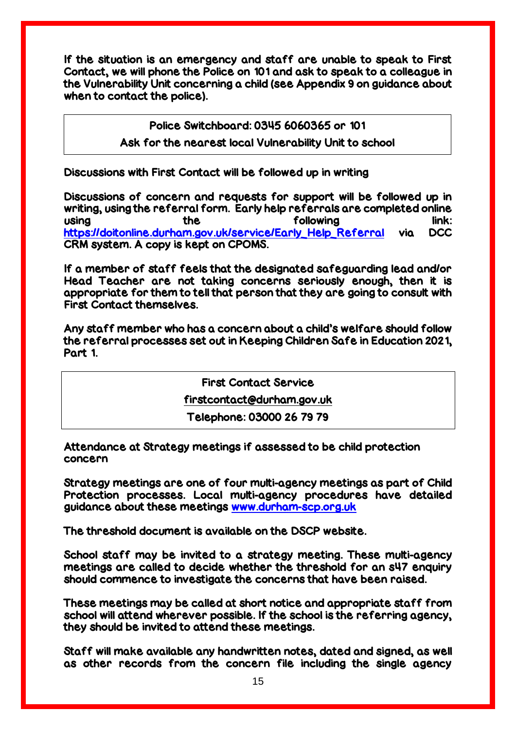If the situation is an emergency and staff are unable to speak to First Contact, we will phone the Police on 101 and ask to speak to a colleague in the Vulnerability Unit concerning a child (see Appendix 9 on guidance about when to contact the police).

Police Switchboard: 0345 6060365 or 101

### Ask for the nearest local Vulnerability Unit to school

Discussions with First Contact will be followed up in writing

Discussions of concern and requests for support will be followed up in writing, using the referral form. Early help referrals are completed online using the the following link: [https://doitonline.durham.gov.uk/service/Early\\_Help\\_Referral](https://doitonline.durham.gov.uk/service/Early_Help_Referral) via DCC CRM system. A copy is kept on CPOMS.

If a member of staff feels that the designated safeguarding lead and/or Head Teacher are not taking concerns seriously enough, then it is appropriate for them to tell that person that they are going to consult with First Contact themselves.

Any staff member who has a concern about a child's welfare should follow the referral processes set out in Keeping Children Safe in Education 2021, Part 1.

First Contact Service

[firstcontact@durham.gov.uk](mailto:firstcontact@durham.gov.uk)

Telephone: 03000 26 79 79

Attendance at Strategy meetings if assessed to be child protection concern

Strategy meetings are one of four multi-agency meetings as part of Child Protection processes. Local multi-agency procedures have detailed guidance about these meetings [www.durham-scp.org.uk](http://www.durham-scp.org.uk/)

The threshold document is available on the DSCP website.

School staff may be invited to a strategy meeting. These multi-agency meetings are called to decide whether the threshold for an s47 enquiry should commence to investigate the concerns that have been raised.

These meetings may be called at short notice and appropriate staff from school will attend wherever possible. If the school is the referring agency, they should be invited to attend these meetings.

Staff will make available any handwritten notes, dated and signed, as well as other records from the concern file including the single agency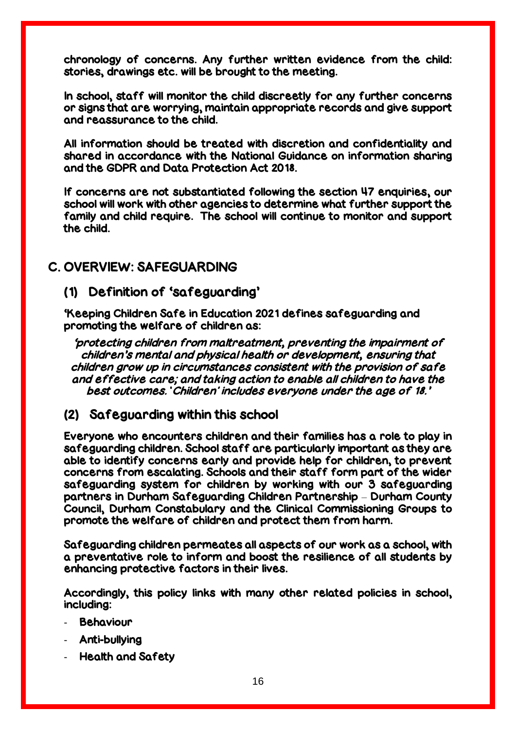chronology of concerns. Any further written evidence from the child: stories, drawings etc. will be brought to the meeting.

In school, staff will monitor the child discreetly for any further concerns or signs that are worrying, maintain appropriate records and give support and reassurance to the child.

All information should be treated with discretion and confidentiality and shared in accordance with the National Guidance on information sharing and the GDPR and Data Protection Act 2018.

If concerns are not substantiated following the section 47 enquiries, our school will work with other agencies to determine what further support the family and child require. The school will continue to monitor and support the child.

## C. OVERVIEW: SAFEGUARDING

### (1) Definition of 'safeguarding'

'Keeping Children Safe in Education 2021 defines safeguarding and promoting the welfare of children as:

'protecting children from maltreatment, preventing the impairment of children's mental and physical health or development, ensuring that children grow up in circumstances consistent with the provision of safe and effective care; and taking action to enable all children to have the best outcomes. 'Children' includes everyone under the age of 18.'

### (2) Safeguarding within this school

Everyone who encounters children and their families has a role to play in safeguarding children. School staff are particularly important as they are able to identify concerns early and provide help for children, to prevent concerns from escalating. Schools and their staff form part of the wider safeguarding system for children by working with our 3 safeguarding partners in Durham Safeguarding Children Partnership – Durham County Council, Durham Constabulary and the Clinical Commissioning Groups to promote the welfare of children and protect them from harm.

Safeguarding children permeates all aspects of our work as a school, with a preventative role to inform and boost the resilience of all students by enhancing protective factors in their lives.

Accordingly, this policy links with many other related policies in school, including:

- **Behaviour**
- Anti-bullying
- Health and Safety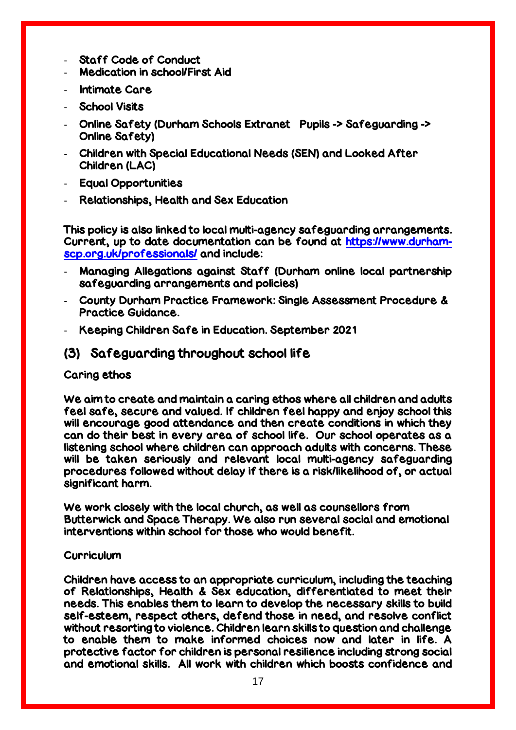- Staff Code of Conduct
- Medication in school/First Aid
- Intimate Care
- School Visits
- Online Safety (Durham Schools Extranet Pupils -> Safeguarding -> Online Safety)
- Children with Special Educational Needs (SEN) and Looked After Children (LAC)
- Equal Opportunities
- Relationships, Health and Sex Education

This policy is also linked to local multi-agency safeguarding arrangements. Current, up to date documentation can be found at [https://www.durham](https://www.durham-scp.org.uk/professionals/)[scp.org.uk/professionals/](https://www.durham-scp.org.uk/professionals/) and include:

- Managing Allegations against Staff (Durham online local partnership safeguarding arrangements and policies)
- County Durham Practice Framework: Single Assessment Procedure & Practice Guidance.
- Keeping Children Safe in Education. September 2021

## (3) Safeguarding throughout school life

### Caring ethos

We aim to create and maintain a caring ethos where all children and adults feel safe, secure and valued. If children feel happy and enjoy school this will encourage good attendance and then create conditions in which they can do their best in every area of school life. Our school operates as a listening school where children can approach adults with concerns. These will be taken seriously and relevant local multi-agency safeguarding procedures followed without delay if there is a risk/likelihood of, or actual significant harm.

We work closely with the local church, as well as counsellors from Butterwick and Space Therapy. We also run several social and emotional interventions within school for those who would benefit.

#### **Curriculum**

Children have access to an appropriate curriculum, including the teaching of Relationships, Health & Sex education, differentiated to meet their needs. This enables them to learn to develop the necessary skills to build self-esteem, respect others, defend those in need, and resolve conflict without resorting to violence. Children learn skills to question and challenge to enable them to make informed choices now and later in life. A protective factor for children is personal resilience including strong social and emotional skills. All work with children which boosts confidence and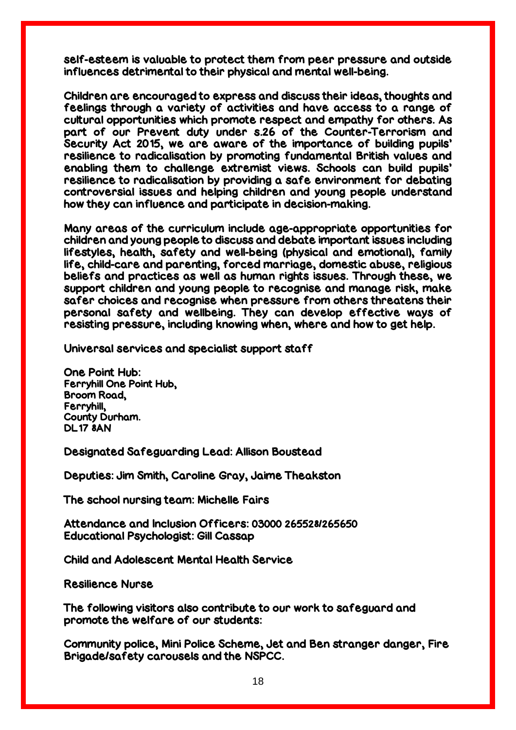self-esteem is valuable to protect them from peer pressure and outside influences detrimental to their physical and mental well-being.

Children are encouraged to express and discuss their ideas, thoughts and feelings through a variety of activities and have access to a range of cultural opportunities which promote respect and empathy for others. As part of our Prevent duty under s.26 of the Counter-Terrorism and Security Act 2015, we are aware of the importance of building pupils' resilience to radicalisation by promoting fundamental British values and enabling them to challenge extremist views. Schools can build pupils' resilience to radicalisation by providing a safe environment for debating controversial issues and helping children and young people understand how they can influence and participate in decision-making.

Many areas of the curriculum include age-appropriate opportunities for children and young people to discuss and debate important issues including lifestyles, health, safety and well-being (physical and emotional), family life, child-care and parenting, forced marriage, domestic abuse, religious beliefs and practices as well as human rights issues. Through these, we support children and young people to recognise and manage risk, make safer choices and recognise when pressure from others threatens their personal safety and wellbeing. They can develop effective ways of resisting pressure, including knowing when, where and how to get help.

Universal services and specialist support staff

One Point Hub: Ferryhill One Point Hub, Broom Road, Ferryhill, County Durham. DL17 8AN

Designated Safeguarding Lead: Allison Boustead

Deputies: Jim Smith, Caroline Gray, Jaime Theakston

The school nursing team: Michelle Fairs

Attendance and Inclusion Officers: 03000 265528/265650 Educational Psychologist: Gill Cassap

Child and Adolescent Mental Health Service

Resilience Nurse

The following visitors also contribute to our work to safeguard and promote the welfare of our students:

Community police, Mini Police Scheme, Jet and Ben stranger danger, Fire Brigade/safety carousels and the NSPCC.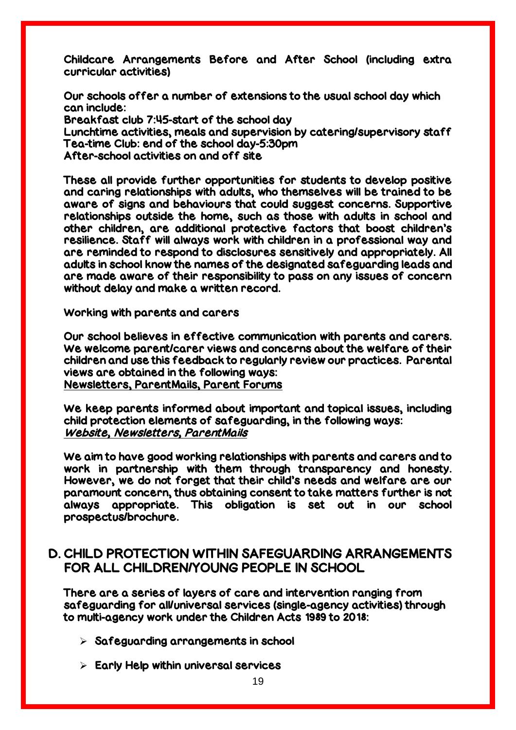Childcare Arrangements Before and After School (including extra curricular activities)

Our schools offer a number of extensions to the usual school day which can include: Breakfast club 7:45-start of the school day Lunchtime activities, meals and supervision by catering/supervisory staff Tea-time Club: end of the school day-5:30pm After-school activities on and off site

These all provide further opportunities for students to develop positive and caring relationships with adults, who themselves will be trained to be aware of signs and behaviours that could suggest concerns. Supportive relationships outside the home, such as those with adults in school and other children, are additional protective factors that boost children's resilience. Staff will always work with children in a professional way and are reminded to respond to disclosures sensitively and appropriately. All adults in school know the names of the designated safeguarding leads and are made aware of their responsibility to pass on any issues of concern without delay and make a written record.

Working with parents and carers

Our school believes in effective communication with parents and carers. We welcome parent/carer views and concerns about the welfare of their children and use this feedback to regularly review our practices. Parental views are obtained in the following ways: Newsletters, ParentMails, Parent Forums

We keep parents informed about important and topical issues, including child protection elements of safeguarding, in the following ways: Website, Newsletters, ParentMails

We aim to have good working relationships with parents and carers and to work in partnership with them through transparency and honesty. However, we do not forget that their child's needs and welfare are our paramount concern, thus obtaining consent to take matters further is not always appropriate. This obligation is set out in our school prospectus/brochure.

## D. CHILD PROTECTION WITHIN SAFEGUARDING ARRANGEMENTS FOR ALL CHILDREN/YOUNG PEOPLE IN SCHOOL

There are a series of layers of care and intervention ranging from safeguarding for all/universal services (single-agency activities) through to multi-agency work under the Children Acts 1989 to 2018:

- $\triangleright$  Safeguarding arrangements in school
- $\triangleright$  Early Help within universal services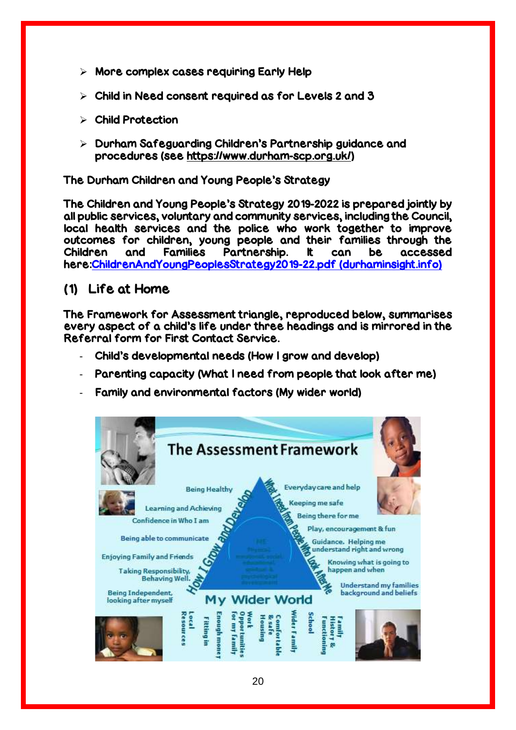- $\triangleright$  More complex cases requiring Early Help
- $\triangleright$  Child in Need consent required as for Levels 2 and 3
- Child Protection
- $\triangleright$  Durham Safeguarding Children's Partnership guidance and procedures (see [https://www.durham-scp.org.uk/\)](https://www.durham-scp.org.uk/)

The Durham Children and Young People's Strategy

The Children and Young People's Strategy 2019-2022 is prepared jointly by all public services, voluntary and community services, including the Council, local health services and the police who work together to improve outcomes for children, young people and their families through the Children and Families Partnership. It can be accessed here[:ChildrenAndYoungPeoplesStrategy2019-22.pdf \(durhaminsight.info\)](https://www.durhaminsight.info/wp-content/uploads/2019/06/ChildrenAndYoungPeoplesStrategy2019-22.pdf)

### (1) Life at Home

The Framework for Assessment triangle, reproduced below, summarises every aspect of a child's life under three headings and is mirrored in the Referral form for First Contact Service.

- Child's developmental needs (How I grow and develop)
- Parenting capacity (What I need from people that look after me)
- Family and environmental factors (My wider world)

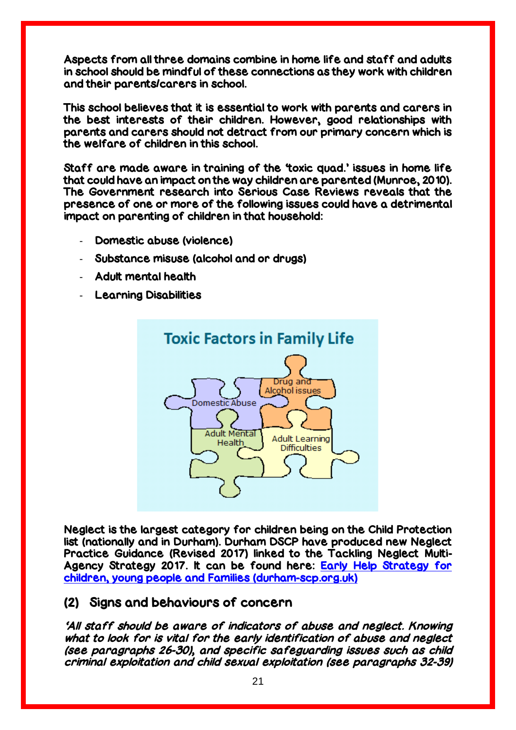Aspects from all three domains combine in home life and staff and adults in school should be mindful of these connections as they work with children and their parents/carers in school.

This school believes that it is essential to work with parents and carers in the best interests of their children. However, good relationships with parents and carers should not detract from our primary concern which is the welfare of children in this school.

Staff are made aware in training of the 'toxic quad.' issues in home life that could have an impact on the way children are parented (Munroe, 2010). The Government research into Serious Case Reviews reveals that the presence of one or more of the following issues could have a detrimental impact on parenting of children in that household:

- Domestic abuse (violence)
- Substance misuse (alcohol and or drugs)
- Adult mental health
- **Learning Disabilities**



Neglect is the largest category for children being on the Child Protection list (nationally and in Durham). Durham DSCP have produced new Neglect Practice Guidance (Revised 2017) linked to the Tackling Neglect Multi-Agency Strategy 2017. It can be found here: [Early Help Strategy for](https://durham-scp.org.uk/wp-content/uploads/2016/06/1458036245-Neglect-Practice-Guidance-2016-Final.pdf)  [children, young people and Families \(durham-scp.org.uk\)](https://durham-scp.org.uk/wp-content/uploads/2016/06/1458036245-Neglect-Practice-Guidance-2016-Final.pdf)

#### (2) Signs and behaviours of concern

'All staff should be aware of indicators of abuse and neglect. Knowing what to look for is vital for the early identification of abuse and neglect (see paragraphs 26-30), and specific safeguarding issues such as child criminal exploitation and child sexual exploitation (see paragraphs 32-39)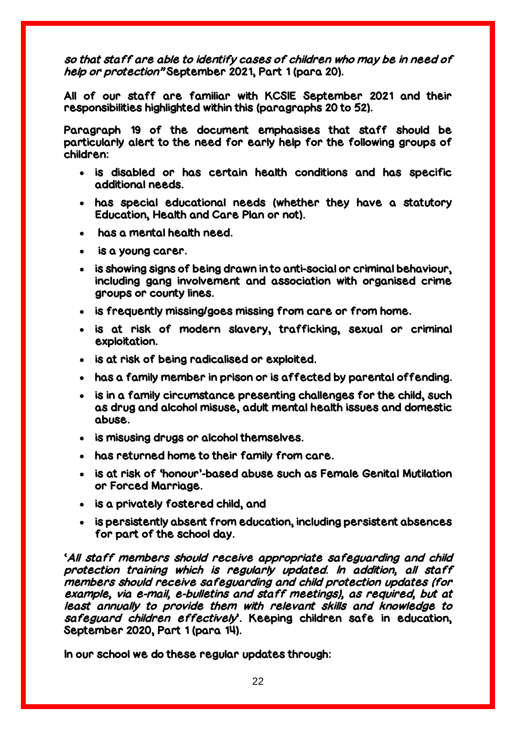so that staff are able to identify cases of children who may be in need of help or protection" September 2021, Part 1 (para 20).

All of our staff are familiar with KCSIE September 2021 and their responsibilities highlighted within this (paragraphs 20 to 52).

Paragraph 19 of the document emphasises that staff should be particularly alert to the need for early help for the following groups of children:

- is disabled or has certain health conditions and has specific additional needs.
- has special educational needs (whether they have a statutory Education, Health and Care Plan or not).
- has a mental health need.
- is a young carer.
- is showing signs of being drawn in to anti-social or criminal behaviour, including gang involvement and association with organised crime groups or county lines.
- is frequently missing/goes missing from care or from home.
- is at risk of modern slavery, trafficking, sexual or criminal exploitation.
- is at risk of being radicalised or exploited.
- has a family member in prison or is affected by parental offending.
- is in a family circumstance presenting challenges for the child, such as drug and alcohol misuse, adult mental health issues and domestic abuse.
- is misusing drugs or alcohol themselves.
- has returned home to their family from care.
- is at risk of 'honour'-based abuse such as Female Genital Mutilation or Forced Marriage.
- is a privately fostered child, and
- is persistently absent from education, including persistent absences for part of the school day.

'All staff members should receive appropriate safeguarding and child protection training which is regularly updated. In addition, all staff members should receive safeguarding and child protection updates (for example, via e-mail, e-bulletins and staff meetings), as required, but at least annually to provide them with relevant skills and knowledge to safeguard children effectively'. Keeping children safe in education, September 2020, Part 1 (para 14).

In our school we do these regular updates through: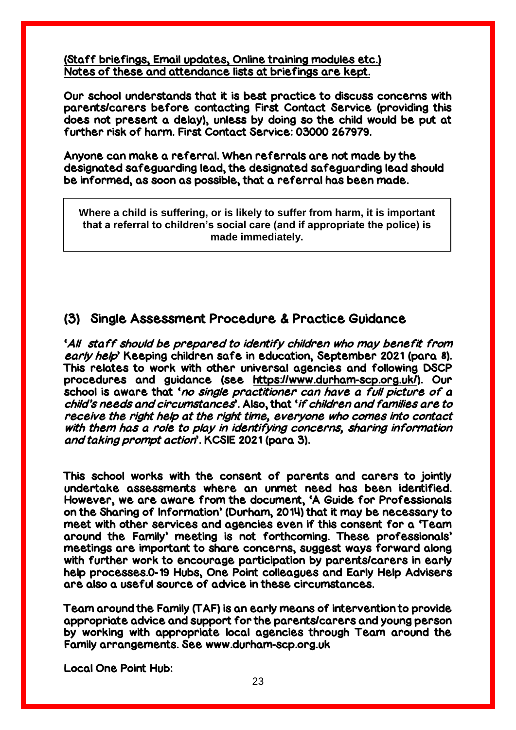(Staff briefings, Email updates, Online training modules etc.) Notes of these and attendance lists at briefings are kept.

Our school understands that it is best practice to discuss concerns with parents/carers before contacting First Contact Service (providing this does not present a delay), unless by doing so the child would be put at further risk of harm. First Contact Service: 03000 267979.

Anyone can make a referral. When referrals are not made by the designated safeguarding lead, the designated safeguarding lead should be informed, as soon as possible, that a referral has been made.

**Where a child is suffering, or is likely to suffer from harm, it is important that a referral to children's social care (and if appropriate the police) is made immediately.**

### (3) Single Assessment Procedure & Practice Guidance

'All staff should be prepared to identify children who may benefit from early help' Keeping children safe in education, September 2021 (para 8). This relates to work with other universal agencies and following DSCP procedures and guidance (see [https://www.durham-scp.org.uk/\)](https://www.durham-scp.org.uk/). Our school is aware that 'no single practitioner can have a full picture of a child's needs and circumstances'. Also, that 'if children and families are to receive the right help at the right time, everyone who comes into contact with them has a role to play in identifying concerns, sharing information and taking prompt action'. KCSIE 2021 (para 3).

This school works with the consent of parents and carers to jointly undertake assessments where an unmet need has been identified. However, we are aware from the document, 'A Guide for Professionals on the Sharing of Information' (Durham, 2014) that it may be necessary to meet with other services and agencies even if this consent for a 'Team around the Family' meeting is not forthcoming. These professionals' meetings are important to share concerns, suggest ways forward along with further work to encourage participation by parents/carers in early help processes.0-19 Hubs, One Point colleagues and Early Help Advisers are also a useful source of advice in these circumstances.

Team around the Family (TAF) is an early means of intervention to provide appropriate advice and support for the parents/carers and young person by working with appropriate local agencies through Team around the Family arrangements. See www.durham-scp.org.uk

Local One Point Hub: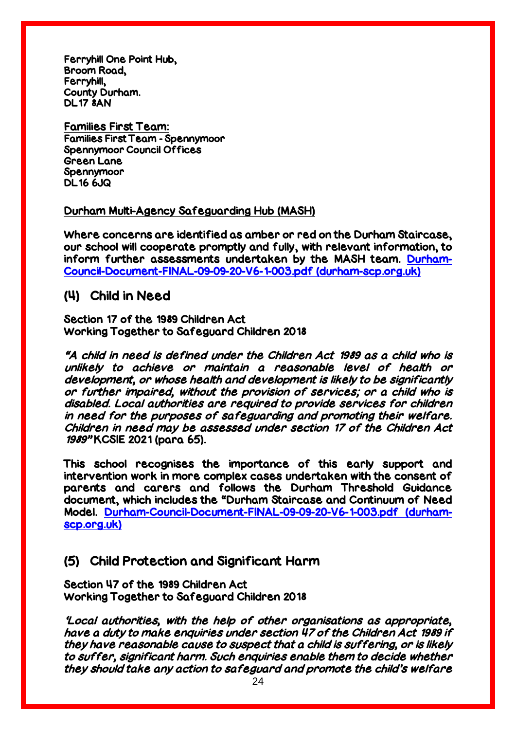Ferryhill One Point Hub, Broom Road, Ferryhill, County Durham. DL17 8AN

Families First Team: Families First Team - Spennymoor Spennymoor Council Offices Green Lane Spennymoor DL16 6JQ

#### Durham Multi-Agency Safeguarding Hub (MASH)

Where concerns are identified as amber or red on the Durham Staircase, our school will cooperate promptly and fully, with relevant information, to inform further assessments undertaken by the MASH team. [Durham-](https://durham-scp.org.uk/wp-content/uploads/2020/09/Durham-Council-Document-FINAL-09-09-20-V6-1-003.pdf)[Council-Document-FINAL-09-09-20-V6-1-003.pdf \(durham-scp.org.uk\)](https://durham-scp.org.uk/wp-content/uploads/2020/09/Durham-Council-Document-FINAL-09-09-20-V6-1-003.pdf)

### (4) Child in Need

Section 17 of the 1989 Children Act Working Together to Safeguard Children 2018

"A child in need is defined under the Children Act 1989 as a child who is unlikely to achieve or maintain a reasonable level of health or development, or whose health and development is likely to be significantly or further impaired, without the provision of services; or a child who is disabled. Local authorities are required to provide services for children in need for the purposes of safeguarding and promoting their welfare. Children in need may be assessed under section 17 of the Children Act 1989" KCSIE 2021 (para 65).

This school recognises the importance of this early support and intervention work in more complex cases undertaken with the consent of parents and carers and follows the Durham Threshold Guidance document, which includes the "Durham Staircase and Continuum of Need Model. [Durham-Council-Document-FINAL-09-09-20-V6-1-003.pdf \(durham](https://durham-scp.org.uk/wp-content/uploads/2020/09/Durham-Council-Document-FINAL-09-09-20-V6-1-003.pdf)[scp.org.uk\)](https://durham-scp.org.uk/wp-content/uploads/2020/09/Durham-Council-Document-FINAL-09-09-20-V6-1-003.pdf)

## (5) Child Protection and Significant Harm

Section 47 of the 1989 Children Act Working Together to Safeguard Children 2018

'Local authorities, with the help of other organisations as appropriate, have a duty to make enquiries under section 47 of the Children Act 1989 if they have reasonable cause to suspect that a child is suffering, or is likely to suffer, significant harm. Such enquiries enable them to decide whether they should take any action to safeguard and promote the child's welfare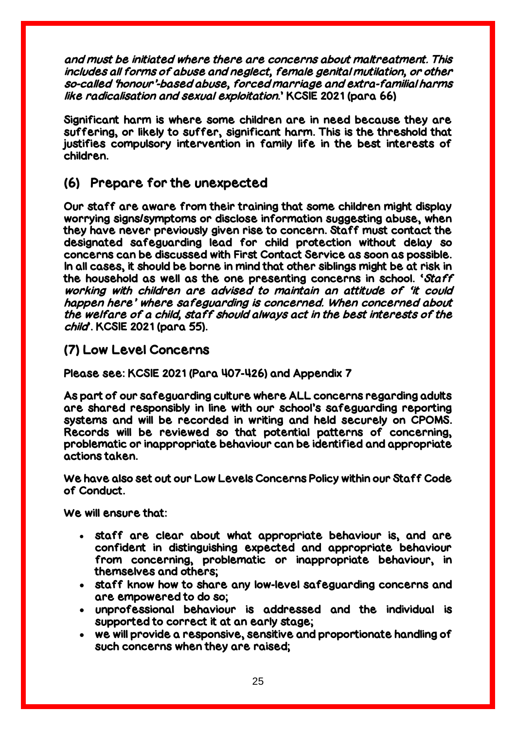and must be initiated where there are concerns about maltreatment. This includes all forms of abuse and neglect, female genital mutilation, or other so-called 'honour'-based abuse, forced marriage and extra-familial harms like radicalisation and sexual exploitation.' KCSIE 2021 (para 66)

Significant harm is where some children are in need because they are suffering, or likely to suffer, significant harm. This is the threshold that justifies compulsory intervention in family life in the best interests of children.

## (6) Prepare for the unexpected

Our staff are aware from their training that some children might display worrying signs/symptoms or disclose information suggesting abuse, when they have never previously given rise to concern. Staff must contact the designated safeguarding lead for child protection without delay so concerns can be discussed with First Contact Service as soon as possible. In all cases, it should be borne in mind that other siblings might be at risk in the household as well as the one presenting concerns in school. 'Staff working with children are advised to maintain an attitude of 'it could happen here' where safeguarding is concerned. When concerned about the welfare of a child, staff should always act in the best interests of the child'. KCSIE 2021 (para 55).

## (7) Low Level Concerns

Please see: KCSIE 2021 (Para 407-426) and Appendix 7

As part of our safeguarding culture where ALL concerns regarding adults are shared responsibly in line with our school's safeguarding reporting systems and will be recorded in writing and held securely on CPOMS. Records will be reviewed so that potential patterns of concerning, problematic or inappropriate behaviour can be identified and appropriate actions taken.

We have also set out our Low Levels Concerns Policy within our Staff Code of Conduct.

We will ensure that:

- staff are clear about what appropriate behaviour is, and are confident in distinguishing expected and appropriate behaviour from concerning, problematic or inappropriate behaviour, in themselves and others;
- staff know how to share any low-level safeguarding concerns and are empowered to do so;
- unprofessional behaviour is addressed and the individual is supported to correct it at an early stage;
- we will provide a responsive, sensitive and proportionate handling of such concerns when they are raised;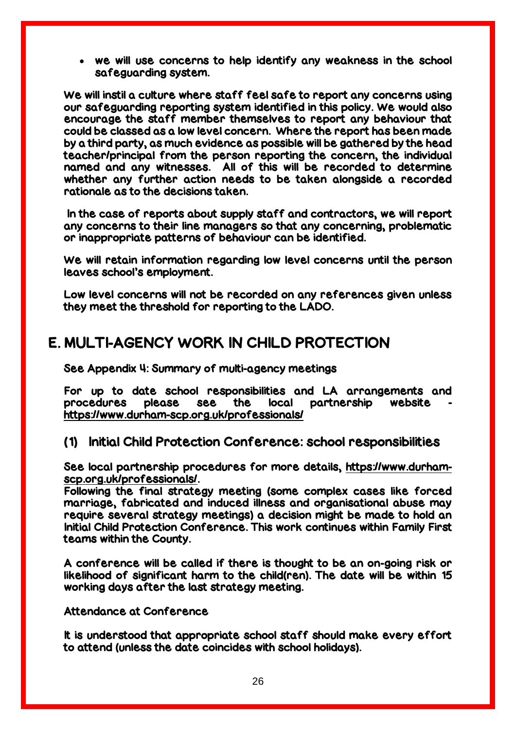we will use concerns to help identify any weakness in the school safeguarding system.

We will instil a culture where staff feel safe to report any concerns using our safeguarding reporting system identified in this policy. We would also encourage the staff member themselves to report any behaviour that could be classed as a low level concern. Where the report has been made by a third party, as much evidence as possible will be gathered by the head teacher/principal from the person reporting the concern, the individual named and any witnesses. All of this will be recorded to determine whether any further action needs to be taken alongside a recorded rationale as to the decisions taken.

In the case of reports about supply staff and contractors, we will report any concerns to their line managers so that any concerning, problematic or inappropriate patterns of behaviour can be identified.

We will retain information regarding low level concerns until the person leaves school's employment.

Low level concerns will not be recorded on any references given unless they meet the threshold for reporting to the LADO.

## E. MULTI-AGENCY WORK IN CHILD PROTECTION

See Appendix 4: Summary of multi-agency meetings

For up to date school responsibilities and LA arrangements and procedures please see the local partnership website <https://www.durham-scp.org.uk/professionals/>

#### (1) Initial Child Protection Conference: school responsibilities

See local partnership procedures for more details, [https://www.durham](https://www.durham-scp.org.uk/professionals/)[scp.org.uk/professionals/.](https://www.durham-scp.org.uk/professionals/)

Following the final strategy meeting (some complex cases like forced marriage, fabricated and induced illness and organisational abuse may require several strategy meetings) a decision might be made to hold an Initial Child Protection Conference. This work continues within Family First teams within the County.

A conference will be called if there is thought to be an on-going risk or likelihood of significant harm to the child(ren). The date will be within 15 working days after the last strategy meeting.

Attendance at Conference

It is understood that appropriate school staff should make every effort to attend (unless the date coincides with school holidays).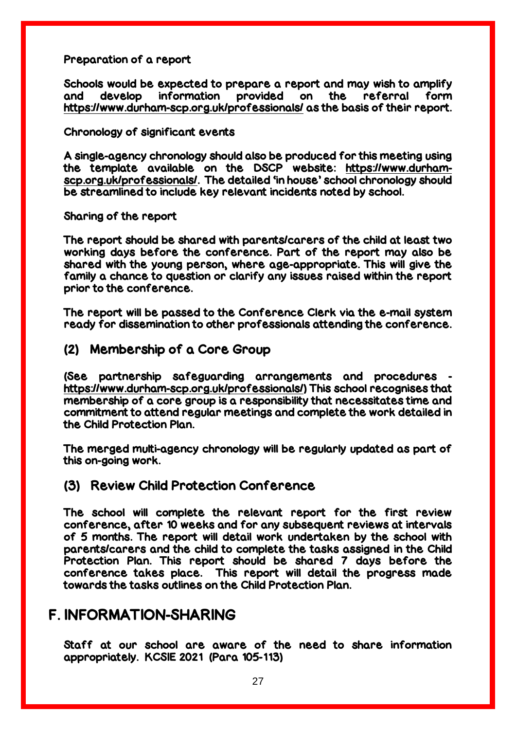#### Preparation of a report

Schools would be expected to prepare a report and may wish to amplify and develop information provided on the referral form <https://www.durham-scp.org.uk/professionals/> as the basis of their report.

#### Chronology of significant events

A single-agency chronology should also be produced for this meeting using the template available on the DSCP website: [https://www.durham](https://www.durham-scp.org.uk/professionals/)[scp.org.uk/professionals/.](https://www.durham-scp.org.uk/professionals/) The detailed 'in house' school chronology should be streamlined to include key relevant incidents noted by school.

#### Sharing of the report

The report should be shared with parents/carers of the child at least two working days before the conference. Part of the report may also be shared with the young person, where age-appropriate. This will give the family a chance to question or clarify any issues raised within the report prior to the conference.

The report will be passed to the Conference Clerk via the e-mail system ready for dissemination to other professionals attending the conference.

### (2) Membership of a Core Group

(See partnership safeguarding arrangements and procedures [https://www.durham-scp.org.uk/professionals/\)](https://www.durham-scp.org.uk/professionals/) This school recognises that membership of a core group is a responsibility that necessitates time and commitment to attend regular meetings and complete the work detailed in the Child Protection Plan.

The merged multi-agency chronology will be regularly updated as part of this on-going work.

### (3) Review Child Protection Conference

The school will complete the relevant report for the first review conference, after 10 weeks and for any subsequent reviews at intervals of 5 months. The report will detail work undertaken by the school with parents/carers and the child to complete the tasks assigned in the Child Protection Plan. This report should be shared 7 days before the conference takes place. This report will detail the progress made towards the tasks outlines on the Child Protection Plan.

## F. INFORMATION-SHARING

Staff at our school are aware of the need to share information appropriately. KCSIE 2021 (Para 105-113)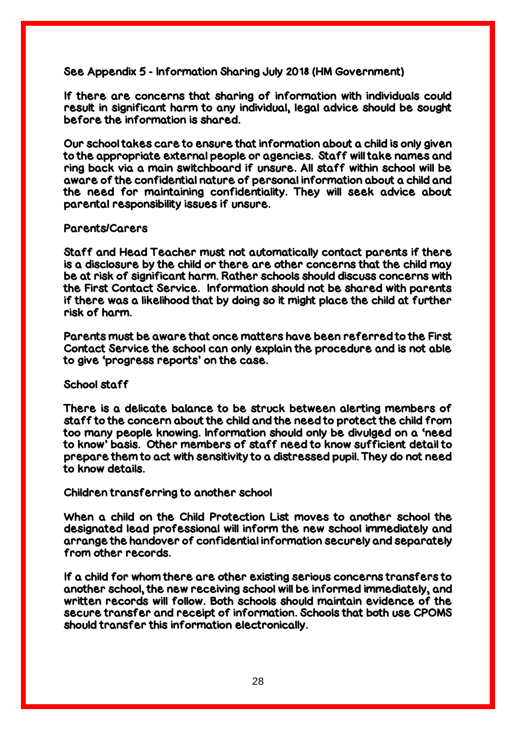See Appendix 5 - Information Sharing July 2018 (HM Government)

If there are concerns that sharing of information with individuals could result in significant harm to any individual, legal advice should be sought before the information is shared.

Our school takes care to ensure that information about a child is only given to the appropriate external people or agencies. Staff will take names and ring back via a main switchboard if unsure. All staff within school will be aware of the confidential nature of personal information about a child and the need for maintaining confidentiality. They will seek advice about parental responsibility issues if unsure.

#### Parents/Carers

Staff and Head Teacher must not automatically contact parents if there is a disclosure by the child or there are other concerns that the child may be at risk of significant harm. Rather schools should discuss concerns with the First Contact Service. Information should not be shared with parents if there was a likelihood that by doing so it might place the child at further risk of harm.

Parents must be aware that once matters have been referred to the First Contact Service the school can only explain the procedure and is not able to give 'progress reports' on the case.

#### School staff

There is a delicate balance to be struck between alerting members of staff to the concern about the child and the need to protect the child from too many people knowing. Information should only be divulged on a 'need to know' basis. Other members of staff need to know sufficient detail to prepare them to act with sensitivity to a distressed pupil. They do not need to know details.

#### Children transferring to another school

When a child on the Child Protection List moves to another school the designated lead professional will inform the new school immediately and arrange the handover of confidential information securely and separately from other records.

If a child for whom there are other existing serious concerns transfers to another school, the new receiving school will be informed immediately, and written records will follow. Both schools should maintain evidence of the secure transfer and receipt of information. Schools that both use CPOMS should transfer this information electronically.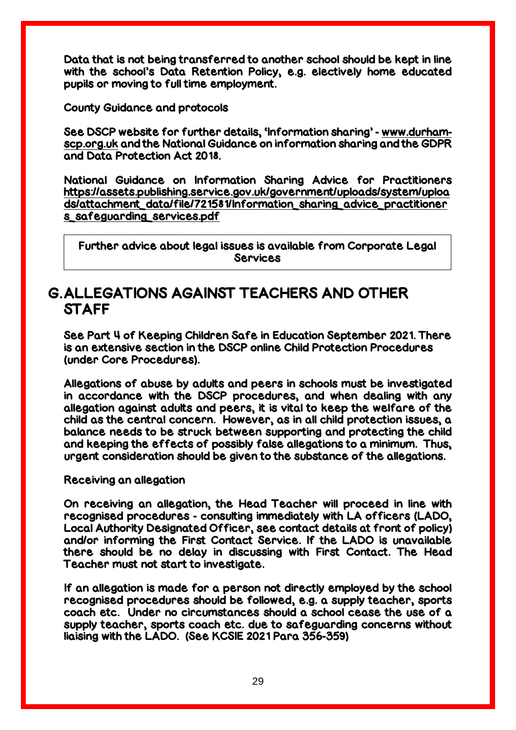Data that is not being transferred to another school should be kept in line with the school's Data Retention Policy, e.g. electively home educated pupils or moving to full time employment.

County Guidance and protocols

See DSCP website for further details, 'Information sharing' - [www.durham](http://www.durham-scp.org.uk/)[scp.org.uk](http://www.durham-scp.org.uk/) and the National Guidance on information sharing and the GDPR and Data Protection Act 2018.

National Guidance on Information Sharing Advice for Practitioners [https://assets.publishing.service.gov.uk/government/uploads/system/uploa](https://assets.publishing.service.gov.uk/government/uploads/system/uploads/attachment_data/file/721581/Information_sharing_advice_practitioners_safeguarding_services.pdf) [ds/attachment\\_data/file/721581/Information\\_sharing\\_advice\\_practitioner](https://assets.publishing.service.gov.uk/government/uploads/system/uploads/attachment_data/file/721581/Information_sharing_advice_practitioners_safeguarding_services.pdf) [s\\_safeguarding\\_services.pdf](https://assets.publishing.service.gov.uk/government/uploads/system/uploads/attachment_data/file/721581/Information_sharing_advice_practitioners_safeguarding_services.pdf)

Further advice about legal issues is available from Corporate Legal **Services** 

## G.ALLEGATIONS AGAINST TEACHERS AND OTHER STAFF

See Part 4 of Keeping Children Safe in Education September 2021. There is an extensive section in the DSCP online Child Protection Procedures (under Core Procedures).

Allegations of abuse by adults and peers in schools must be investigated in accordance with the DSCP procedures, and when dealing with any allegation against adults and peers, it is vital to keep the welfare of the child as the central concern. However, as in all child protection issues, a balance needs to be struck between supporting and protecting the child and keeping the effects of possibly false allegations to a minimum. Thus, urgent consideration should be given to the substance of the allegations.

#### Receiving an allegation

On receiving an allegation, the Head Teacher will proceed in line with recognised procedures - consulting immediately with LA officers (LADO, Local Authority Designated Officer, see contact details at front of policy) and/or informing the First Contact Service. If the LADO is unavailable there should be no delay in discussing with First Contact. The Head Teacher must not start to investigate.

If an allegation is made for a person not directly employed by the school recognised procedures should be followed, e.g. a supply teacher, sports coach etc. Under no circumstances should a school cease the use of a supply teacher, sports coach etc. due to safeguarding concerns without liaising with the LADO. (See KCSIE 2021 Para 356-359)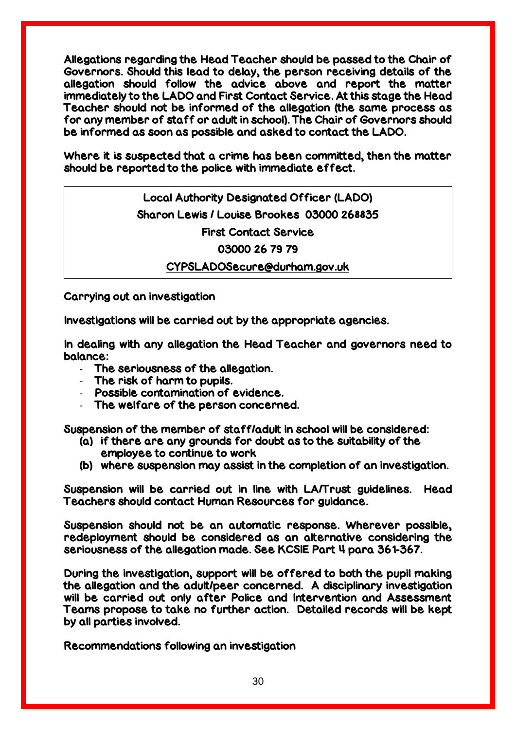Allegations regarding the Head Teacher should be passed to the Chair of Governors. Should this lead to delay, the person receiving details of the allegation should follow the advice above and report the matter immediately to the LADO and First Contact Service. At this stage the Head Teacher should not be informed of the allegation (the same process as for any member of staff or adult in school). The Chair of Governors should be informed as soon as possible and asked to contact the LADO.

Where it is suspected that a crime has been committed, then the matter should be reported to the police with immediate effect.

> Local Authority Designated Officer (LADO) Sharon Lewis / Louise Brookes 03000 268835 First Contact Service 03000 26 79 79

#### [CYPSLADOSecure@durham.gov.uk](mailto:CYPSLADOSecure@durham.gov.uk)

Carrying out an investigation

Investigations will be carried out by the appropriate agencies.

In dealing with any allegation the Head Teacher and governors need to balance:

- The seriousness of the allegation.
- The risk of harm to pupils.
- Possible contamination of evidence.
- The welfare of the person concerned.

Suspension of the member of staff/adult in school will be considered:

- (a) if there are any grounds for doubt as to the suitability of the employee to continue to work
- (b) where suspension may assist in the completion of an investigation.

Suspension will be carried out in line with LA/Trust guidelines. Head Teachers should contact Human Resources for guidance.

Suspension should not be an automatic response. Wherever possible, redeployment should be considered as an alternative considering the seriousness of the allegation made. See KCSIE Part 4 para 361-367.

During the investigation, support will be offered to both the pupil making the allegation and the adult/peer concerned. A disciplinary investigation will be carried out only after Police and Intervention and Assessment Teams propose to take no further action. Detailed records will be kept by all parties involved.

Recommendations following an investigation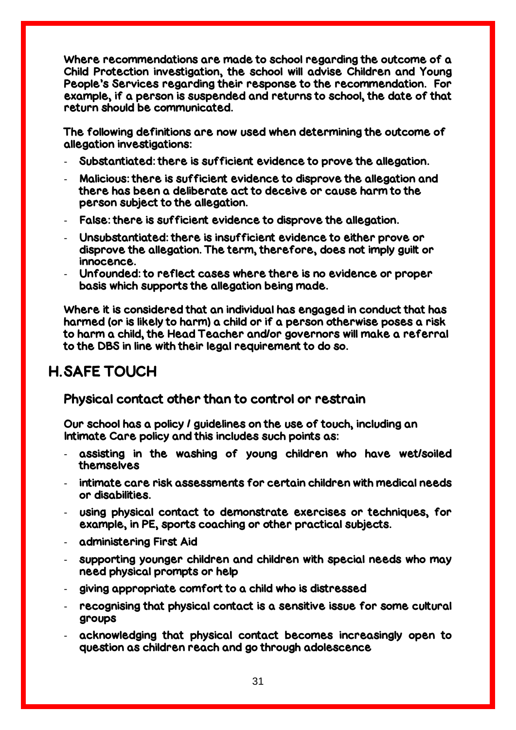Where recommendations are made to school regarding the outcome of a Child Protection investigation, the school will advise Children and Young People's Services regarding their response to the recommendation. For example, if a person is suspended and returns to school, the date of that return should be communicated.

The following definitions are now used when determining the outcome of allegation investigations:

- Substantiated: there is sufficient evidence to prove the allegation.
- Malicious: there is sufficient evidence to disprove the allegation and there has been a deliberate act to deceive or cause harm to the person subject to the allegation.
- False: there is sufficient evidence to disprove the allegation.
- Unsubstantiated: there is insufficient evidence to either prove or disprove the allegation. The term, therefore, does not imply guilt or innocence.
- Unfounded: to reflect cases where there is no evidence or proper basis which supports the allegation being made.

Where it is considered that an individual has engaged in conduct that has harmed (or is likely to harm) a child or if a person otherwise poses a risk to harm a child, the Head Teacher and/or governors will make a referral to the DBS in line with their legal requirement to do so.

## H.SAFE TOUCH

## Physical contact other than to control or restrain

Our school has a policy / guidelines on the use of touch, including an Intimate Care policy and this includes such points as:

- assisting in the washing of young children who have wet/soiled themselves
- intimate care risk assessments for certain children with medical needs or disabilities.
- using physical contact to demonstrate exercises or techniques, for example, in PE, sports coaching or other practical subjects.
- administering First Aid
- supporting younger children and children with special needs who may need physical prompts or help
- giving appropriate comfort to a child who is distressed
- recognising that physical contact is a sensitive issue for some cultural groups
- acknowledging that physical contact becomes increasingly open to question as children reach and go through adolescence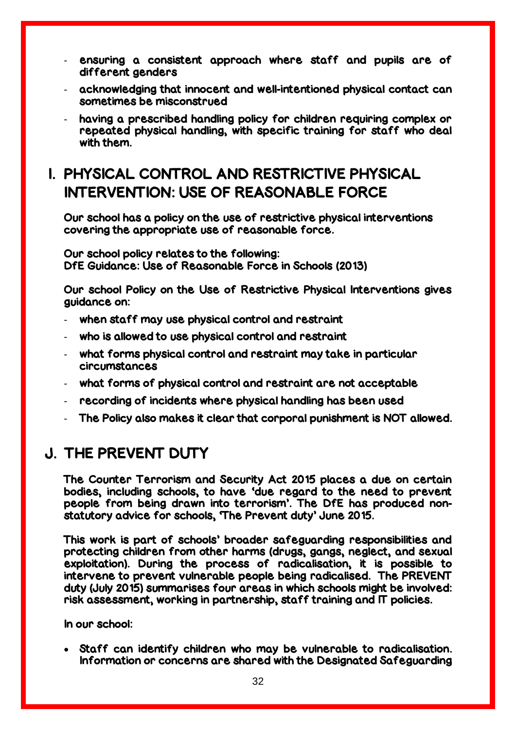- ensuring a consistent approach where staff and pupils are of different genders
- acknowledging that innocent and well-intentioned physical contact can sometimes be misconstrued
- having a prescribed handling policy for children requiring complex or repeated physical handling, with specific training for staff who deal with them.

## I. PHYSICAL CONTROL AND RESTRICTIVE PHYSICAL INTERVENTION: USE OF REASONABLE FORCE

Our school has a policy on the use of restrictive physical interventions covering the appropriate use of reasonable force.

Our school policy relates to the following: DfE Guidance: Use of Reasonable Force in Schools (2013)

Our school Policy on the Use of Restrictive Physical Interventions gives guidance on:

- when staff may use physical control and restraint
- who is allowed to use physical control and restraint
- what forms physical control and restraint may take in particular circumstances
- what forms of physical control and restraint are not acceptable
- recording of incidents where physical handling has been used
- The Policy also makes it clear that corporal punishment is NOT allowed.

## J. THE PREVENT DUTY

The Counter Terrorism and Security Act 2015 places a due on certain bodies, including schools, to have 'due regard to the need to prevent people from being drawn into terrorism'. The DfE has produced nonstatutory advice for schools, 'The Prevent duty' June 2015.

This work is part of schools' broader safeguarding responsibilities and protecting children from other harms (drugs, gangs, neglect, and sexual exploitation). During the process of radicalisation, it is possible to intervene to prevent vulnerable people being radicalised. The PREVENT duty (July 2015) summarises four areas in which schools might be involved: risk assessment, working in partnership, staff training and IT policies.

In our school:

 Staff can identify children who may be vulnerable to radicalisation. Information or concerns are shared with the Designated Safeguarding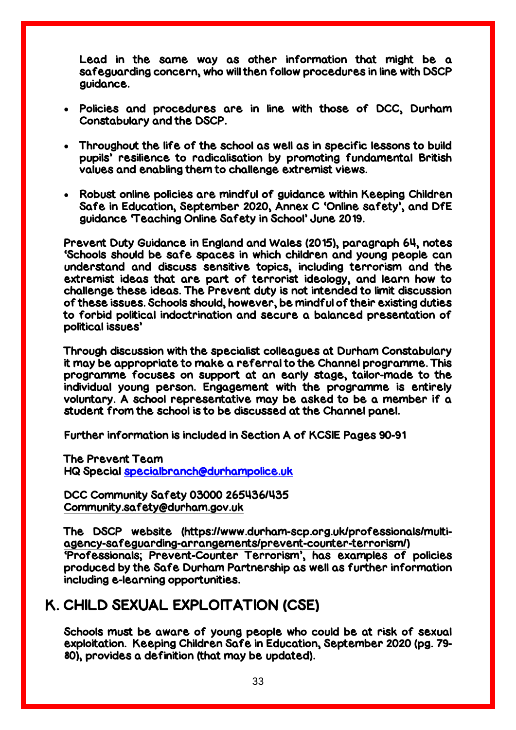Lead in the same way as other information that might be a safeguarding concern, who will then follow procedures in line with DSCP guidance.

- Policies and procedures are in line with those of DCC, Durham Constabulary and the DSCP.
- Throughout the life of the school as well as in specific lessons to build pupils' resilience to radicalisation by promoting fundamental British values and enabling them to challenge extremist views.
- Robust online policies are mindful of guidance within Keeping Children Safe in Education, September 2020, Annex C 'Online safety', and DfE guidance 'Teaching Online Safety in School' June 2019.

Prevent Duty Guidance in England and Wales (2015), paragraph 64, notes 'Schools should be safe spaces in which children and young people can understand and discuss sensitive topics, including terrorism and the extremist ideas that are part of terrorist ideology, and learn how to challenge these ideas. The Prevent duty is not intended to limit discussion of these issues. Schools should, however, be mindful of their existing duties to forbid political indoctrination and secure a balanced presentation of political issues'

Through discussion with the specialist colleagues at Durham Constabulary it may be appropriate to make a referral to the Channel programme. This programme focuses on support at an early stage, tailor-made to the individual young person. Engagement with the programme is entirely voluntary. A school representative may be asked to be a member if a student from the school is to be discussed at the Channel panel.

Further information is included in Section A of KCSIE Pages 90-91

The Prevent Team HQ Special [specialbranch@durhampolice.uk](mailto:specialbranch@durhampolice.uk)

DCC Community Safety 03000 265436/435 [Community.safety@durham.gov.uk](mailto:Community.safety@durham.gov.uk)

The DSCP website [\(https://www.durham-scp.org.uk/professionals/multi](https://www.durham-scp.org.uk/professionals/multi-agency-safeguarding-arrangements/prevent-counter-terrorism/)[agency-safeguarding-arrangements/prevent-counter-terrorism/\)](https://www.durham-scp.org.uk/professionals/multi-agency-safeguarding-arrangements/prevent-counter-terrorism/) 'Professionals; Prevent-Counter Terrorism', has examples of policies produced by the Safe Durham Partnership as well as further information including e-learning opportunities.

## K. CHILD SEXUAL EXPLOITATION (CSE)

Schools must be aware of young people who could be at risk of sexual exploitation. Keeping Children Safe in Education, September 2020 (pg. 79- 80), provides a definition (that may be updated).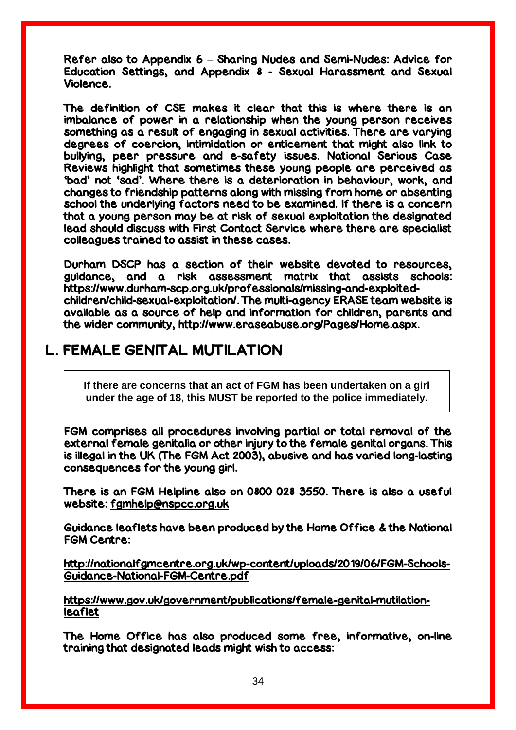Refer also to Appendix 6 – Sharing Nudes and Semi-Nudes: Advice for Education Settings, and Appendix 8 - Sexual Harassment and Sexual Violence.

The definition of CSE makes it clear that this is where there is an imbalance of power in a relationship when the young person receives something as a result of engaging in sexual activities. There are varying degrees of coercion, intimidation or enticement that might also link to bullying, peer pressure and e-safety issues. National Serious Case Reviews highlight that sometimes these young people are perceived as 'bad' not 'sad'. Where there is a deterioration in behaviour, work, and changes to friendship patterns along with missing from home or absenting school the underlying factors need to be examined. If there is a concern that a young person may be at risk of sexual exploitation the designated lead should discuss with First Contact Service where there are specialist colleagues trained to assist in these cases.

Durham DSCP has a section of their website devoted to resources, guidance, and a risk assessment matrix that assists schools: [https://www.durham-scp.org.uk/professionals/missing-and-exploited](https://www.durham-scp.org.uk/professionals/missing-and-exploited-children/child-sexual-exploitation/)[children/child-sexual-exploitation/.](https://www.durham-scp.org.uk/professionals/missing-and-exploited-children/child-sexual-exploitation/) The multi-agency ERASE team website is available as a source of help and information for children, parents and the wider community, [http://www.eraseabuse.org/Pages/Home.aspx.](http://www.eraseabuse.org/Pages/Home.aspx)

## L. FEMALE GENITAL MUTILATION

**If there are concerns that an act of FGM has been undertaken on a girl under the age of 18, this MUST be reported to the police immediately.**

FGM comprises all procedures involving partial or total removal of the external female genitalia or other injury to the female genital organs. This is illegal in the UK (The FGM Act 2003), abusive and has varied long-lasting consequences for the young girl.

There is an FGM Helpline also on 0800 028 3550. There is also a useful website: [fgmhelp@nspcc.org.uk](mailto:fgmhelp@nspcc.org.uk)

Guidance leaflets have been produced by the Home Office & the National FGM Centre:

[http://nationalfgmcentre.org.uk/wp-content/uploads/2019/06/FGM-Schools-](http://nationalfgmcentre.org.uk/wp-content/uploads/2019/06/FGM-Schools-Guidance-National-FGM-Centre.pdf)[Guidance-National-FGM-Centre.pdf](http://nationalfgmcentre.org.uk/wp-content/uploads/2019/06/FGM-Schools-Guidance-National-FGM-Centre.pdf)

[https://www.gov.uk/government/publications/female-genital-mutilation](http://briefing.safeguardinginschools.co.uk/lt.php?s=c08dd3322ee433f9daa71867532506b1&i=73A99A5A617)[leaflet](http://briefing.safeguardinginschools.co.uk/lt.php?s=c08dd3322ee433f9daa71867532506b1&i=73A99A5A617)

The Home Office has also produced some free, informative, on-line training that designated leads might wish to access: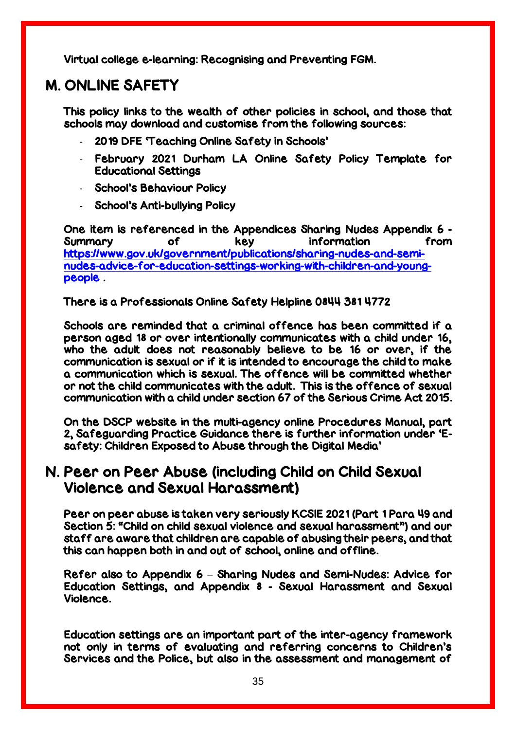Virtual college e-learning: Recognising and Preventing FGM.

## M. ONLINE SAFETY

This policy links to the wealth of other policies in school, and those that schools may download and customise from the following sources:

- 2019 DFE 'Teaching Online Safety in Schools'
- February 2021 Durham LA Online Safety Policy Template for Educational Settings
- School's Behaviour Policy
- School's Anti-bullying Policy

One item is referenced in the Appendices Sharing Nudes Appendix 6 - Summary of key information from [https://www.gov.uk/government/publications/sharing-nudes-and-semi](https://www.gov.uk/government/publications/sharing-nudes-and-semi-nudes-advice-for-education-settings-working-with-children-and-young-people)[nudes-advice-for-education-settings-working-with-children-and-young](https://www.gov.uk/government/publications/sharing-nudes-and-semi-nudes-advice-for-education-settings-working-with-children-and-young-people)[people](https://www.gov.uk/government/publications/sharing-nudes-and-semi-nudes-advice-for-education-settings-working-with-children-and-young-people) .

#### There is a Professionals Online Safety Helpline 0844 381 4772

Schools are reminded that a criminal offence has been committed if a person aged 18 or over intentionally communicates with a child under 16, who the adult does not reasonably believe to be 16 or over, if the communication is sexual or if it is intended to encourage the child to make a communication which is sexual. The offence will be committed whether or not the child communicates with the adult. This is the offence of sexual communication with a child under section 67 of the Serious Crime Act 2015.

On the DSCP website in the multi-agency online Procedures Manual, part 2, Safeguarding Practice Guidance there is further information under 'Esafety: Children Exposed to Abuse through the Digital Media'

## N. Peer on Peer Abuse (including Child on Child Sexual Violence and Sexual Harassment)

Peer on peer abuse is taken very seriously KCSIE 2021 (Part 1 Para 49 and Section 5: "Child on child sexual violence and sexual harassment") and our staff are aware that children are capable of abusing their peers, and that this can happen both in and out of school, online and offline.

Refer also to Appendix 6 – Sharing Nudes and Semi-Nudes: Advice for Education Settings, and Appendix 8 - Sexual Harassment and Sexual Violence.

Education settings are an important part of the inter-agency framework not only in terms of evaluating and referring concerns to Children's Services and the Police, but also in the assessment and management of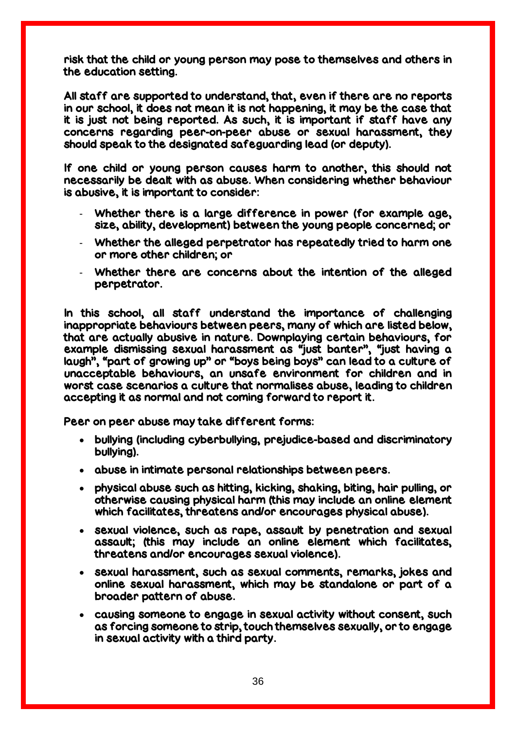risk that the child or young person may pose to themselves and others in the education setting.

All staff are supported to understand, that, even if there are no reports in our school, it does not mean it is not happening, it may be the case that it is just not being reported. As such, it is important if staff have any concerns regarding peer-on-peer abuse or sexual harassment, they should speak to the designated safeguarding lead (or deputy).

If one child or young person causes harm to another, this should not necessarily be dealt with as abuse. When considering whether behaviour is abusive, it is important to consider:

- Whether there is a large difference in power (for example age, size, ability, development) between the young people concerned; or
- Whether the alleged perpetrator has repeatedly tried to harm one or more other children; or
- Whether there are concerns about the intention of the alleged perpetrator.

In this school, all staff understand the importance of challenging inappropriate behaviours between peers, many of which are listed below, that are actually abusive in nature. Downplaying certain behaviours, for example dismissing sexual harassment as "just banter", "just having a laugh", "part of growing up" or "boys being boys" can lead to a culture of unacceptable behaviours, an unsafe environment for children and in worst case scenarios a culture that normalises abuse, leading to children accepting it as normal and not coming forward to report it.

Peer on peer abuse may take different forms:

- bullying (including cyberbullying, prejudice-based and discriminatory bullying).
- abuse in intimate personal relationships between peers.
- physical abuse such as hitting, kicking, shaking, biting, hair pulling, or otherwise causing physical harm (this may include an online element which facilitates, threatens and/or encourages physical abuse).
- sexual violence, such as rape, assault by penetration and sexual assault; (this may include an online element which facilitates, threatens and/or encourages sexual violence).
- sexual harassment, such as sexual comments, remarks, jokes and online sexual harassment, which may be standalone or part of a broader pattern of abuse.
- causing someone to engage in sexual activity without consent, such as forcing someone to strip, touch themselves sexually, or to engage in sexual activity with a third party.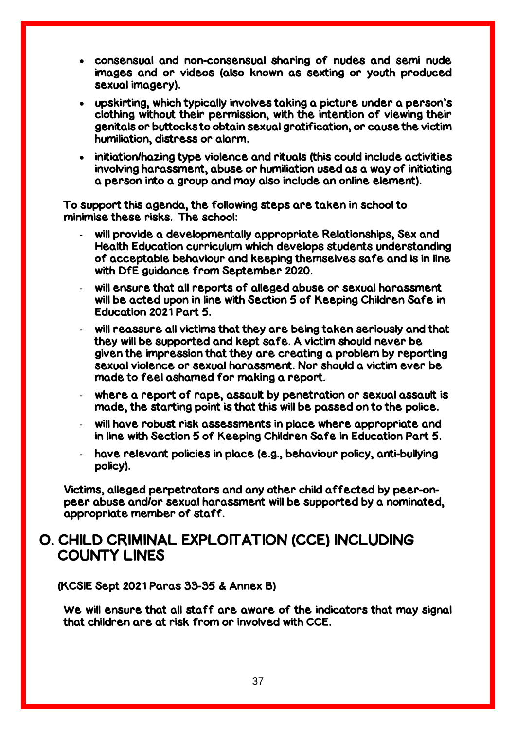- consensual and non-consensual sharing of nudes and semi nude images and or videos (also known as sexting or youth produced sexual imagery).
- upskirting, which typically involves taking a picture under a person's clothing without their permission, with the intention of viewing their genitals or buttocks to obtain sexual gratification, or cause the victim humiliation, distress or alarm.
- initiation/hazing type violence and rituals (this could include activities involving harassment, abuse or humiliation used as a way of initiating a person into a group and may also include an online element).

To support this agenda, the following steps are taken in school to minimise these risks. The school:

- will provide a developmentally appropriate Relationships, Sex and Health Education curriculum which develops students understanding of acceptable behaviour and keeping themselves safe and is in line with DfE guidance from September 2020.
- will ensure that all reports of alleged abuse or sexual harassment will be acted upon in line with Section 5 of Keeping Children Safe in Education 2021 Part 5.
- will reassure all victims that they are being taken seriously and that they will be supported and kept safe. A victim should never be given the impression that they are creating a problem by reporting sexual violence or sexual harassment. Nor should a victim ever be made to feel ashamed for making a report.
- where a report of rape, assault by penetration or sexual assault is made, the starting point is that this will be passed on to the police.
- will have robust risk assessments in place where appropriate and in line with Section 5 of Keeping Children Safe in Education Part 5.
- have relevant policies in place (e.g., behaviour policy, anti-bullying policy).

Victims, alleged perpetrators and any other child affected by peer-onpeer abuse and/or sexual harassment will be supported by a nominated, appropriate member of staff.

## O. CHILD CRIMINAL EXPLOITATION (CCE) INCLUDING COUNTY LINES

(KCSIE Sept 2021 Paras 33-35 & Annex B)

We will ensure that all staff are aware of the indicators that may signal that children are at risk from or involved with CCE.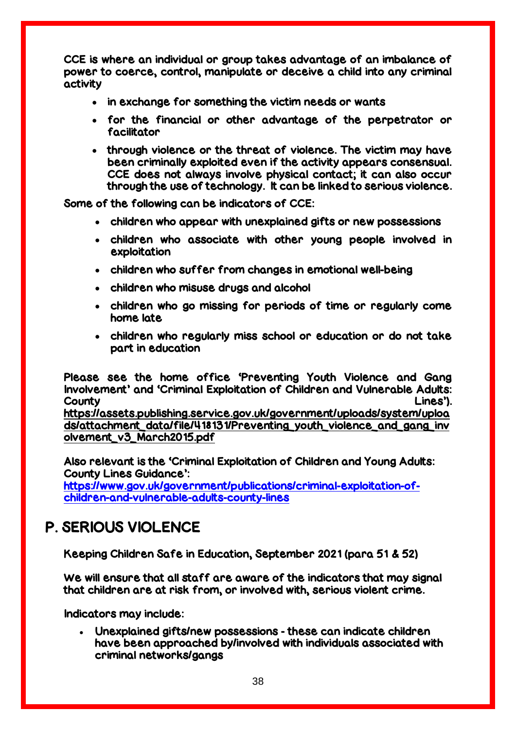CCE is where an individual or group takes advantage of an imbalance of power to coerce, control, manipulate or deceive a child into any criminal activity

- in exchange for something the victim needs or wants
- for the financial or other advantage of the perpetrator or facilitator
- through violence or the threat of violence. The victim may have been criminally exploited even if the activity appears consensual. CCE does not always involve physical contact; it can also occur through the use of technology. It can be linked to serious violence.

Some of the following can be indicators of CCE:

- children who appear with unexplained gifts or new possessions
- children who associate with other young people involved in exploitation
- children who suffer from changes in emotional well-being
- children who misuse drugs and alcohol
- children who go missing for periods of time or regularly come home late
- children who regularly miss school or education or do not take part in education

Please see the home office 'Preventing Youth Violence and Gang Involvement' and 'Criminal Exploitation of Children and Vulnerable Adults: County Lines'). [https://assets.publishing.service.gov.uk/government/uploads/system/uploa](https://assets.publishing.service.gov.uk/government/uploads/system/uploads/attachment_data/file/418131/Preventing_youth_violence_and_gang_involvement_v3_March2015.pdf) [ds/attachment\\_data/file/418131/Preventing\\_youth\\_violence\\_and\\_gang\\_inv](https://assets.publishing.service.gov.uk/government/uploads/system/uploads/attachment_data/file/418131/Preventing_youth_violence_and_gang_involvement_v3_March2015.pdf) [olvement\\_v3\\_March2015.pdf](https://assets.publishing.service.gov.uk/government/uploads/system/uploads/attachment_data/file/418131/Preventing_youth_violence_and_gang_involvement_v3_March2015.pdf)

Also relevant is the 'Criminal Exploitation of Children and Young Adults: County Lines Guidance': [https://www.gov.uk/government/publications/criminal-exploitation-of-](https://www.gov.uk/government/publications/criminal-exploitation-of-children-and-vulnerable-adults-county-lines)

[children-and-vulnerable-adults-county-lines](https://www.gov.uk/government/publications/criminal-exploitation-of-children-and-vulnerable-adults-county-lines)

## P. SERIOUS VIOLENCE

Keeping Children Safe in Education, September 2021 (para 51 & 52)

We will ensure that all staff are aware of the indicators that may signal that children are at risk from, or involved with, serious violent crime.

Indicators may include:

 Unexplained gifts/new possessions - these can indicate children have been approached by/involved with individuals associated with criminal networks/gangs